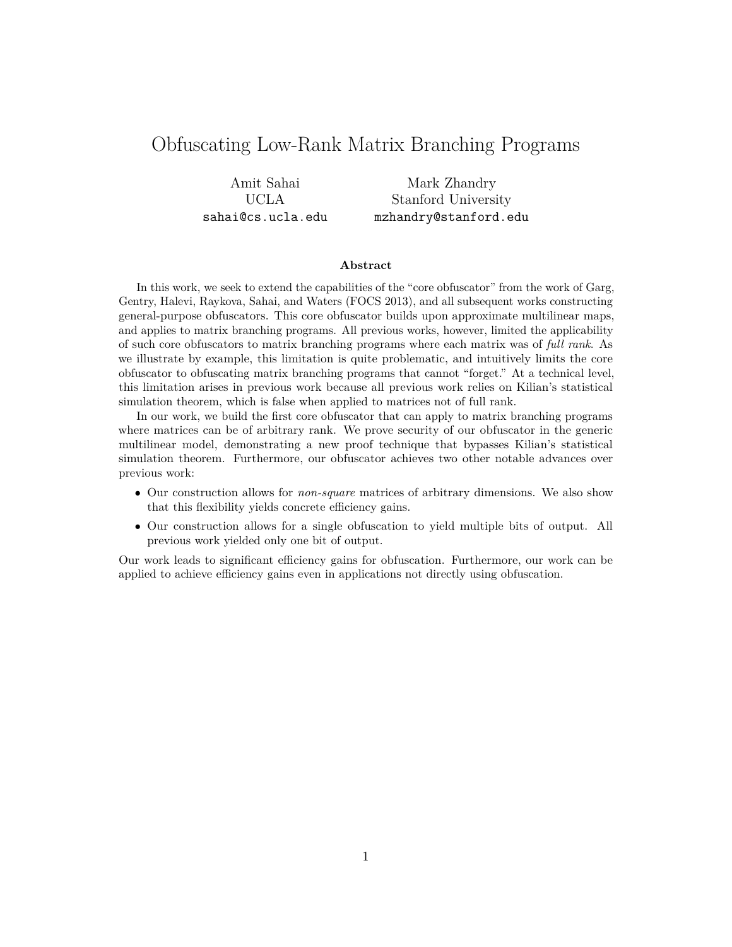# Obfuscating Low-Rank Matrix Branching Programs

Amit Sahai UCLA sahai@cs.ucla.edu

Mark Zhandry Stanford University mzhandry@stanford.edu

#### **Abstract**

In this work, we seek to extend the capabilities of the "core obfuscator" from the work of Garg, Gentry, Halevi, Raykova, Sahai, and Waters (FOCS 2013), and all subsequent works constructing general-purpose obfuscators. This core obfuscator builds upon approximate multilinear maps, and applies to matrix branching programs. All previous works, however, limited the applicability of such core obfuscators to matrix branching programs where each matrix was of *full rank*. As we illustrate by example, this limitation is quite problematic, and intuitively limits the core obfuscator to obfuscating matrix branching programs that cannot "forget." At a technical level, this limitation arises in previous work because all previous work relies on Kilian's statistical simulation theorem, which is false when applied to matrices not of full rank.

In our work, we build the first core obfuscator that can apply to matrix branching programs where matrices can be of arbitrary rank. We prove security of our obfuscator in the generic multilinear model, demonstrating a new proof technique that bypasses Kilian's statistical simulation theorem. Furthermore, our obfuscator achieves two other notable advances over previous work:

- Our construction allows for *non-square* matrices of arbitrary dimensions. We also show that this flexibility yields concrete efficiency gains.
- Our construction allows for a single obfuscation to yield multiple bits of output. All previous work yielded only one bit of output.

Our work leads to significant efficiency gains for obfuscation. Furthermore, our work can be applied to achieve efficiency gains even in applications not directly using obfuscation.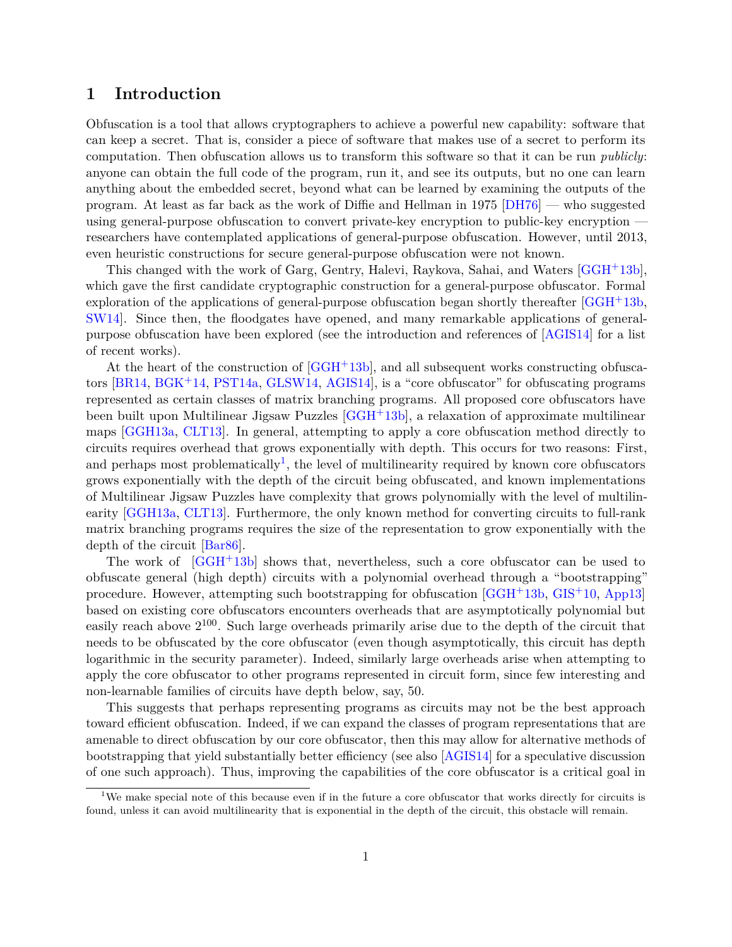### **1 Introduction**

Obfuscation is a tool that allows cryptographers to achieve a powerful new capability: software that can keep a secret. That is, consider a piece of software that makes use of a secret to perform its computation. Then obfuscation allows us to transform this software so that it can be run *publicly*: anyone can obtain the full code of the program, run it, and see its outputs, but no one can learn anything about the embedded secret, beyond what can be learned by examining the outputs of the program. At least as far back as the work of Diffie and Hellman in 1975 [\[DH76\]](#page-29-0) — who suggested using general-purpose obfuscation to convert private-key encryption to public-key encryption researchers have contemplated applications of general-purpose obfuscation. However, until 2013, even heuristic constructions for secure general-purpose obfuscation were not known.

This changed with the work of Garg, Gentry, Halevi, Raykova, Sahai, and Waters [\[GGH](#page-30-0)+13b], which gave the first candidate cryptographic construction for a general-purpose obfuscator. Formal exploration of the applications of general-purpose obfuscation began shortly thereafter [\[GGH](#page-30-0)+13b, [SW14\]](#page-30-1). Since then, the floodgates have opened, and many remarkable applications of generalpurpose obfuscation have been explored (see the introduction and references of [\[AGIS14\]](#page-29-1) for a list of recent works).

At the heart of the construction of [\[GGH](#page-30-0)+13b], and all subsequent works constructing obfuscators [\[BR14,](#page-29-2) [BGK](#page-29-3)+14, [PST14a,](#page-30-2) [GLSW14,](#page-30-3) [AGIS14\]](#page-29-1), is a "core obfuscator" for obfuscating programs represented as certain classes of matrix branching programs. All proposed core obfuscators have been built upon Multilinear Jigsaw Puzzles [\[GGH](#page-30-0)+13b], a relaxation of approximate multilinear maps [\[GGH13a,](#page-29-4) [CLT13\]](#page-29-5). In general, attempting to apply a core obfuscation method directly to circuits requires overhead that grows exponentially with depth. This occurs for two reasons: First, and perhaps most problematically<sup>[1](#page-1-0)</sup>, the level of multilinearity required by known core obfuscators grows exponentially with the depth of the circuit being obfuscated, and known implementations of Multilinear Jigsaw Puzzles have complexity that grows polynomially with the level of multilinearity [\[GGH13a,](#page-29-4) [CLT13\]](#page-29-5). Furthermore, the only known method for converting circuits to full-rank matrix branching programs requires the size of the representation to grow exponentially with the depth of the circuit [\[Bar86\]](#page-29-6).

The work of [\[GGH](#page-30-0)+13b] shows that, nevertheless, such a core obfuscator can be used to obfuscate general (high depth) circuits with a polynomial overhead through a "bootstrapping" procedure. However, attempting such bootstrapping for obfuscation [\[GGH](#page-30-0)+13b, [GIS](#page-30-4)+10, [App13\]](#page-29-7) based on existing core obfuscators encounters overheads that are asymptotically polynomial but easily reach above  $2^{100}$ . Such large overheads primarily arise due to the depth of the circuit that needs to be obfuscated by the core obfuscator (even though asymptotically, this circuit has depth logarithmic in the security parameter). Indeed, similarly large overheads arise when attempting to apply the core obfuscator to other programs represented in circuit form, since few interesting and non-learnable families of circuits have depth below, say, 50.

This suggests that perhaps representing programs as circuits may not be the best approach toward efficient obfuscation. Indeed, if we can expand the classes of program representations that are amenable to direct obfuscation by our core obfuscator, then this may allow for alternative methods of bootstrapping that yield substantially better efficiency (see also [\[AGIS14\]](#page-29-1) for a speculative discussion of one such approach). Thus, improving the capabilities of the core obfuscator is a critical goal in

<span id="page-1-0"></span><sup>&</sup>lt;sup>1</sup>We make special note of this because even if in the future a core obfuscator that works directly for circuits is found, unless it can avoid multilinearity that is exponential in the depth of the circuit, this obstacle will remain.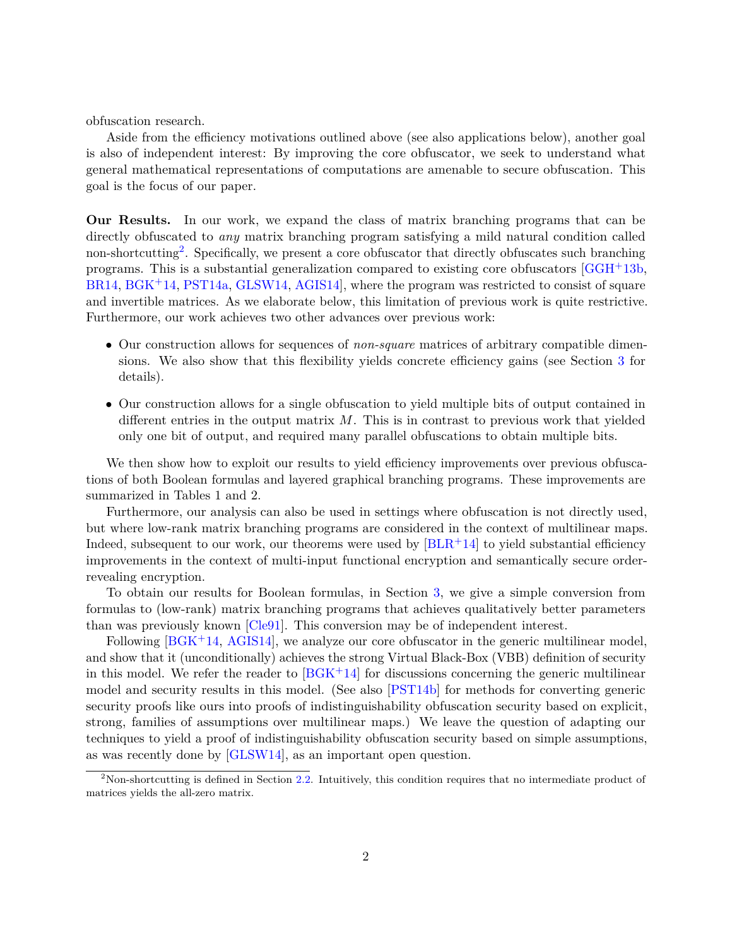obfuscation research.

Aside from the efficiency motivations outlined above (see also applications below), another goal is also of independent interest: By improving the core obfuscator, we seek to understand what general mathematical representations of computations are amenable to secure obfuscation. This goal is the focus of our paper.

**Our Results.** In our work, we expand the class of matrix branching programs that can be directly obfuscated to *any* matrix branching program satisfying a mild natural condition called non-shortcutting<sup>[2](#page-2-0)</sup>. Specifically, we present a core obfuscator that directly obfuscates such branching programs. This is a substantial generalization compared to existing core obfuscators [\[GGH](#page-30-0)+13b, [BR14,](#page-29-2) [BGK](#page-29-3)+14, [PST14a,](#page-30-2) [GLSW14,](#page-30-3) [AGIS14\]](#page-29-1), where the program was restricted to consist of square and invertible matrices. As we elaborate below, this limitation of previous work is quite restrictive. Furthermore, our work achieves two other advances over previous work:

- Our construction allows for sequences of *non-square* matrices of arbitrary compatible dimensions. We also show that this flexibility yields concrete efficiency gains (see Section [3](#page-11-0) for details).
- Our construction allows for a single obfuscation to yield multiple bits of output contained in different entries in the output matrix *M*. This is in contrast to previous work that yielded only one bit of output, and required many parallel obfuscations to obtain multiple bits.

We then show how to exploit our results to yield efficiency improvements over previous obfuscations of both Boolean formulas and layered graphical branching programs. These improvements are summarized in Tables 1 and 2.

Furthermore, our analysis can also be used in settings where obfuscation is not directly used, but where low-rank matrix branching programs are considered in the context of multilinear maps. Indeed, subsequent to our work, our theorems were used by  $|BLR+14|$  to yield substantial efficiency improvements in the context of multi-input functional encryption and semantically secure orderrevealing encryption.

To obtain our results for Boolean formulas, in Section [3,](#page-11-0) we give a simple conversion from formulas to (low-rank) matrix branching programs that achieves qualitatively better parameters than was previously known [\[Cle91\]](#page-29-9). This conversion may be of independent interest.

Following [\[BGK](#page-29-3)<sup>+</sup>14, [AGIS14\]](#page-29-1), we analyze our core obfuscator in the generic multilinear model, and show that it (unconditionally) achieves the strong Virtual Black-Box (VBB) definition of security in this model. We refer the reader to  $[BG<sub>K</sub>+14]$  for discussions concerning the generic multilinear model and security results in this model. (See also [\[PST14b\]](#page-30-5) for methods for converting generic security proofs like ours into proofs of indistinguishability obfuscation security based on explicit, strong, families of assumptions over multilinear maps.) We leave the question of adapting our techniques to yield a proof of indistinguishability obfuscation security based on simple assumptions, as was recently done by [\[GLSW14\]](#page-30-3), as an important open question.

<span id="page-2-0"></span><sup>&</sup>lt;sup>2</sup>Non-shortcutting is defined in Section [2.2.](#page-7-0) Intuitively, this condition requires that no intermediate product of matrices yields the all-zero matrix.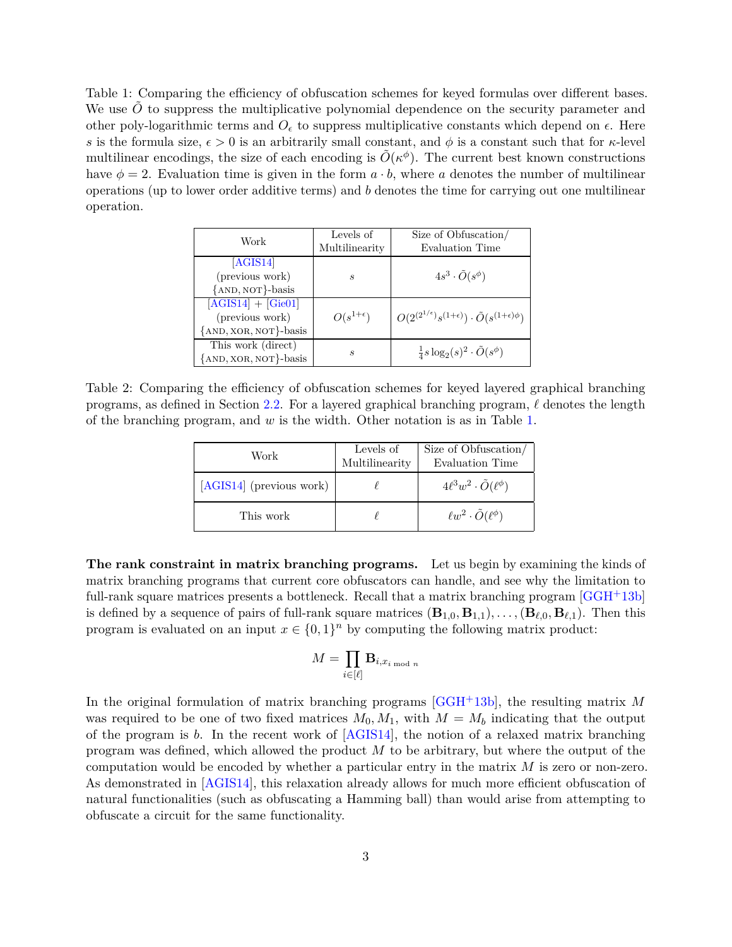<span id="page-3-0"></span>Table 1: Comparing the efficiency of obfuscation schemes for keyed formulas over different bases. We use  $\ddot{O}$  to suppress the multiplicative polynomial dependence on the security parameter and other poly-logarithmic terms and  $O_{\epsilon}$  to suppress multiplicative constants which depend on  $\epsilon$ . Here *s* is the formula size,  $\epsilon > 0$  is an arbitrarily small constant, and  $\phi$  is a constant such that for  $\kappa$ -level multilinear encodings, the size of each encoding is  $\tilde{O}(\kappa^{\phi})$ . The current best known constructions have  $\phi = 2$ . Evaluation time is given in the form  $a \cdot b$ , where a denotes the number of multilinear operations (up to lower order additive terms) and *b* denotes the time for carrying out one multilinear operation.

| Work                                                             | Levels of<br>Multilinearity | Size of Obfuscation/<br>Evaluation Time                                          |
|------------------------------------------------------------------|-----------------------------|----------------------------------------------------------------------------------|
| [AGIS14]<br>(previous work)<br>{AND, NOT}-basis                  | $\mathcal{S}_{0}$           | $4s^3\cdot \tilde{O}(s^{\phi})$                                                  |
| $[AGIS14] + [Gie01]$<br>(previous work)<br>{AND, XOR, NOT}-basis | $O(s^{1+\epsilon})$         | $O(2^{(2^{1/\epsilon})} s^{(1+\epsilon)}) \cdot \tilde{O}(s^{(1+\epsilon)\phi})$ |
| This work (direct)<br>{AND, XOR, NOT}-basis                      | S                           | $\frac{1}{4} s \log_2(s)^2 \cdot \tilde{O}(s^{\phi})$                            |

Table 2: Comparing the efficiency of obfuscation schemes for keyed layered graphical branching programs, as defined in Section [2.2.](#page-7-0) For a layered graphical branching program,  $\ell$  denotes the length of the branching program, and *w* is the width. Other notation is as in Table [1.](#page-3-0)

| Work                     | Levels of<br>Multilinearity | Size of Obfuscation/<br>Evaluation Time |
|--------------------------|-----------------------------|-----------------------------------------|
| [AGIS14] (previous work) |                             | $4\ell^3w^2\cdot\tilde{O}(\ell^{\phi})$ |
| This work                |                             | $\ell w^2 \cdot \tilde{O}(\ell^{\phi})$ |

**The rank constraint in matrix branching programs.** Let us begin by examining the kinds of matrix branching programs that current core obfuscators can handle, and see why the limitation to full-rank square matrices presents a bottleneck. Recall that a matrix branching program [\[GGH](#page-30-0)+13b] is defined by a sequence of pairs of full-rank square matrices  $(\mathbf{B}_{1,0}, \mathbf{B}_{1,1}), \ldots, (\mathbf{B}_{\ell,0}, \mathbf{B}_{\ell,1}).$  Then this program is evaluated on an input  $x \in \{0,1\}^n$  by computing the following matrix product:

$$
M = \prod_{i \in [\ell]} \mathbf{B}_{i,x_{i \bmod n}}
$$

In the original formulation of matrix branching programs [\[GGH](#page-30-0)+13b], the resulting matrix *M* was required to be one of two fixed matrices  $M_0, M_1$ , with  $M = M_b$  indicating that the output of the program is *b*. In the recent work of [\[AGIS14\]](#page-29-1), the notion of a relaxed matrix branching program was defined, which allowed the product *M* to be arbitrary, but where the output of the computation would be encoded by whether a particular entry in the matrix *M* is zero or non-zero. As demonstrated in [\[AGIS14\]](#page-29-1), this relaxation already allows for much more efficient obfuscation of natural functionalities (such as obfuscating a Hamming ball) than would arise from attempting to obfuscate a circuit for the same functionality.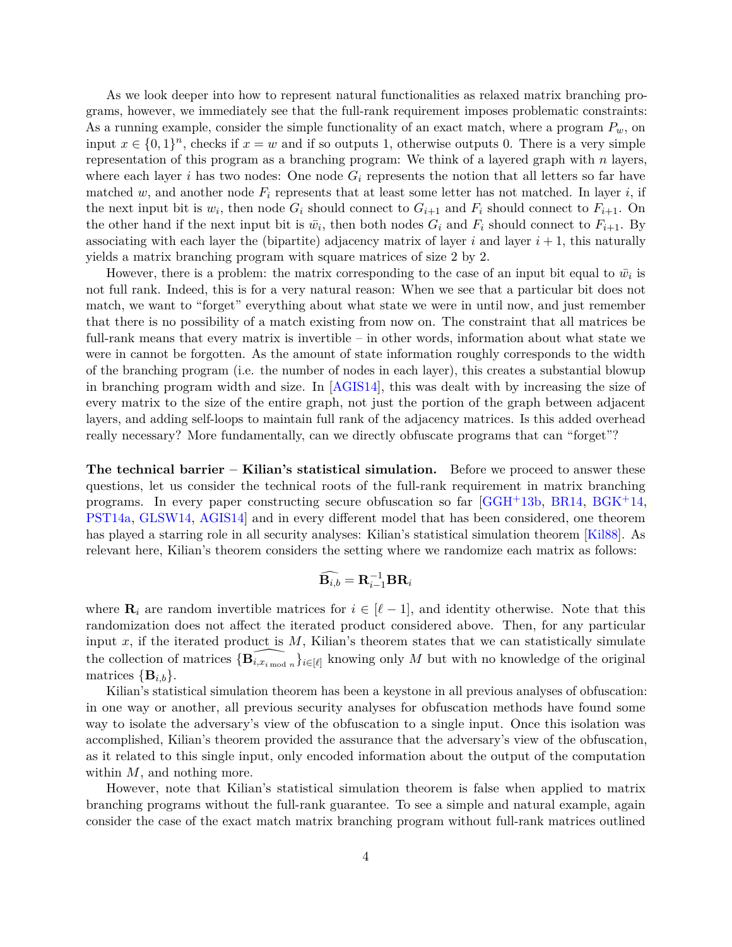As we look deeper into how to represent natural functionalities as relaxed matrix branching programs, however, we immediately see that the full-rank requirement imposes problematic constraints: As a running example, consider the simple functionality of an exact match, where a program *Pw*, on input  $x \in \{0,1\}^n$ , checks if  $x = w$  and if so outputs 1, otherwise outputs 0. There is a very simple representation of this program as a branching program: We think of a layered graph with *n* layers, where each layer  $i$  has two nodes: One node  $G_i$  represents the notion that all letters so far have matched  $w$ , and another node  $F_i$  represents that at least some letter has not matched. In layer  $i$ , if the next input bit is  $w_i$ , then node  $G_i$  should connect to  $G_{i+1}$  and  $F_i$  should connect to  $F_{i+1}$ . On the other hand if the next input bit is  $\bar{w}_i$ , then both nodes  $G_i$  and  $F_i$  should connect to  $F_{i+1}$ . By associating with each layer the (bipartite) adjacency matrix of layer  $i$  and layer  $i + 1$ , this naturally yields a matrix branching program with square matrices of size 2 by 2.

However, there is a problem: the matrix corresponding to the case of an input bit equal to  $\bar{w_i}$  is not full rank. Indeed, this is for a very natural reason: When we see that a particular bit does not match, we want to "forget" everything about what state we were in until now, and just remember that there is no possibility of a match existing from now on. The constraint that all matrices be full-rank means that every matrix is invertible – in other words, information about what state we were in cannot be forgotten. As the amount of state information roughly corresponds to the width of the branching program (i.e. the number of nodes in each layer), this creates a substantial blowup in branching program width and size. In [\[AGIS14\]](#page-29-1), this was dealt with by increasing the size of every matrix to the size of the entire graph, not just the portion of the graph between adjacent layers, and adding self-loops to maintain full rank of the adjacency matrices. Is this added overhead really necessary? More fundamentally, can we directly obfuscate programs that can "forget"?

**The technical barrier – Kilian's statistical simulation.** Before we proceed to answer these questions, let us consider the technical roots of the full-rank requirement in matrix branching programs. In every paper constructing secure obfuscation so far [\[GGH](#page-30-0)+13b, [BR14,](#page-29-2) [BGK](#page-29-3)+14, [PST14a,](#page-30-2) [GLSW14,](#page-30-3) [AGIS14\]](#page-29-1) and in every different model that has been considered, one theorem has played a starring role in all security analyses: Kilian's statistical simulation theorem [\[Kil88\]](#page-30-7). As relevant here, Kilian's theorem considers the setting where we randomize each matrix as follows:

$$
\widehat{\mathbf{B}_{i,b}}=\mathbf{R}_{i-1}^{-1}\mathbf{B}\mathbf{R}_{i}
$$

where  $\mathbf{R}_i$  are random invertible matrices for  $i \in [\ell-1]$ , and identity otherwise. Note that this randomization does not affect the iterated product considered above. Then, for any particular input  $x$ , if the iterated product is  $M$ , Kilian's theorem states that we can statistically simulate the collection of matrices  $\{\widehat{\mathbf{B}_{i,x_{i \text{ mod } n}}}\}_{i \in [\ell]}$  knowing only *M* but with no knowledge of the original matrices  ${\bf \{B}_{i,b}\}.$ 

Kilian's statistical simulation theorem has been a keystone in all previous analyses of obfuscation: in one way or another, all previous security analyses for obfuscation methods have found some way to isolate the adversary's view of the obfuscation to a single input. Once this isolation was accomplished, Kilian's theorem provided the assurance that the adversary's view of the obfuscation, as it related to this single input, only encoded information about the output of the computation within *M*, and nothing more.

However, note that Kilian's statistical simulation theorem is false when applied to matrix branching programs without the full-rank guarantee. To see a simple and natural example, again consider the case of the exact match matrix branching program without full-rank matrices outlined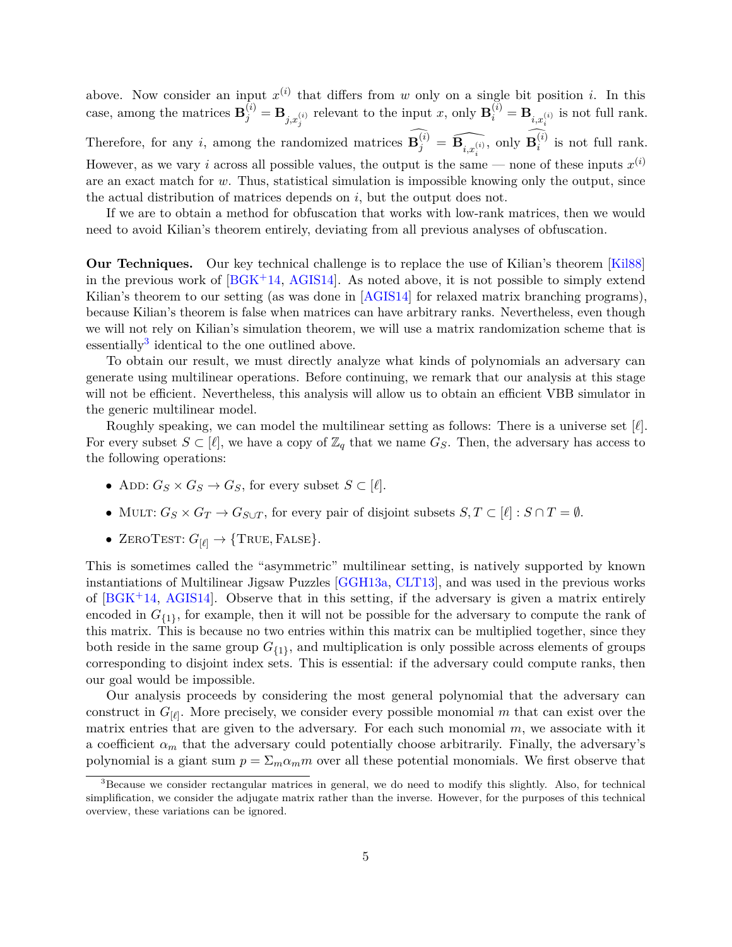above. Now consider an input  $x^{(i)}$  that differs from *w* only on a single bit position *i*. In this case, among the matrices  $\mathbf{B}_j^{(i)} = \mathbf{B}_{j,x_j^{(i)}}$  relevant to the input *x*, only  $\mathbf{B}_i^{(i)} = \mathbf{B}_{i,x_i^{(i)}}$  is not full rank. Therefore, for any *i*, among the randomized matrices  $\mathbf{B}_j^{(i)} = \widehat{\mathbf{B}_{i,x_i^{(i)}}},$  only  $\mathbf{B}_i^{(i)}$  $i^{(i)}$  is not full rank. However, as we vary *i* across all possible values, the output is the same — none of these inputs  $x^{(i)}$ are an exact match for *w*. Thus, statistical simulation is impossible knowing only the output, since the actual distribution of matrices depends on *i*, but the output does not.

If we are to obtain a method for obfuscation that works with low-rank matrices, then we would need to avoid Kilian's theorem entirely, deviating from all previous analyses of obfuscation.

**Our Techniques.** Our key technical challenge is to replace the use of Kilian's theorem [\[Kil88\]](#page-30-7) in the previous work of  $[BGK^+14, AGIS14]$  $[BGK^+14, AGIS14]$  $[BGK^+14, AGIS14]$ . As noted above, it is not possible to simply extend Kilian's theorem to our setting (as was done in [\[AGIS14\]](#page-29-1) for relaxed matrix branching programs). because Kilian's theorem is false when matrices can have arbitrary ranks. Nevertheless, even though we will not rely on Kilian's simulation theorem, we will use a matrix randomization scheme that is essentially<sup>[3](#page-5-0)</sup> identical to the one outlined above.

To obtain our result, we must directly analyze what kinds of polynomials an adversary can generate using multilinear operations. Before continuing, we remark that our analysis at this stage will not be efficient. Nevertheless, this analysis will allow us to obtain an efficient VBB simulator in the generic multilinear model.

Roughly speaking, we can model the multilinear setting as follows: There is a universe set [*`*]. For every subset  $S \subset [\ell]$ , we have a copy of  $\mathbb{Z}_q$  that we name  $G_S$ . Then, the adversary has access to the following operations:

- ADD:  $G_S \times G_S \rightarrow G_S$ , for every subset  $S \subset [\ell]$ .
- MULT:  $G_S \times G_T \rightarrow G_{S \cup T}$ , for every pair of disjoint subsets  $S, T \subset [\ell] : S \cap T = \emptyset$ .
- ZEROTEST:  $G_{[\ell]} \rightarrow \{\text{TRUE}, \text{FALSE}\}.$

This is sometimes called the "asymmetric" multilinear setting, is natively supported by known instantiations of Multilinear Jigsaw Puzzles [\[GGH13a,](#page-29-4) [CLT13\]](#page-29-5), and was used in the previous works of  $[BGK^+14, AGIS14]$  $[BGK^+14, AGIS14]$  $[BGK^+14, AGIS14]$ . Observe that in this setting, if the adversary is given a matrix entirely encoded in  $G_{\{1\}}$ , for example, then it will not be possible for the adversary to compute the rank of this matrix. This is because no two entries within this matrix can be multiplied together, since they both reside in the same group  $G_{\{1\}}$ , and multiplication is only possible across elements of groups corresponding to disjoint index sets. This is essential: if the adversary could compute ranks, then our goal would be impossible.

Our analysis proceeds by considering the most general polynomial that the adversary can construct in  $G_{[\ell]}$ . More precisely, we consider every possible monomial *m* that can exist over the matrix entries that are given to the adversary. For each such monomial *m*, we associate with it a coefficient  $\alpha_m$  that the adversary could potentially choose arbitrarily. Finally, the adversary's polynomial is a giant sum  $p = \sum_m \alpha_m m$  over all these potential monomials. We first observe that

<span id="page-5-0"></span><sup>&</sup>lt;sup>3</sup>Because we consider rectangular matrices in general, we do need to modify this slightly. Also, for technical simplification, we consider the adjugate matrix rather than the inverse. However, for the purposes of this technical overview, these variations can be ignored.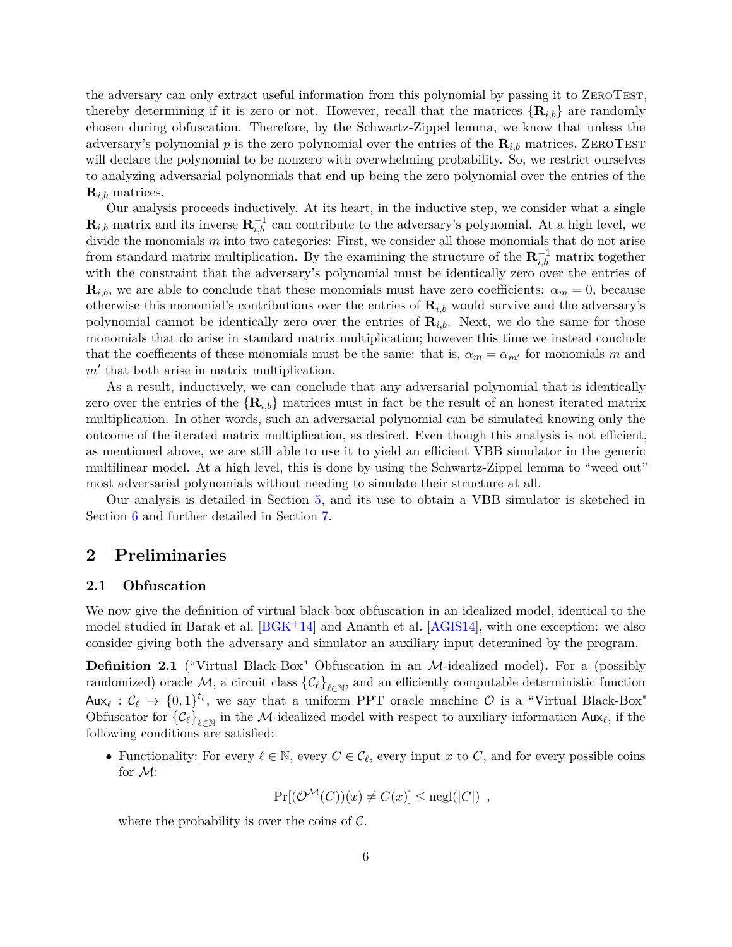the adversary can only extract useful information from this polynomial by passing it to ZeroTest, thereby determining if it is zero or not. However, recall that the matrices  $\{R_{i,b}\}\$  are randomly chosen during obfuscation. Therefore, by the Schwartz-Zippel lemma, we know that unless the adversary's polynomial  $p$  is the zero polynomial over the entries of the  $\mathbf{R}_{i,b}$  matrices, ZEROTEST will declare the polynomial to be nonzero with overwhelming probability. So, we restrict ourselves to analyzing adversarial polynomials that end up being the zero polynomial over the entries of the  $\mathbf{R}_{i,b}$  matrices.

Our analysis proceeds inductively. At its heart, in the inductive step, we consider what a single  $\mathbf{R}_{i,b}$  matrix and its inverse  $\mathbf{R}_{i,b}^{-1}$  can contribute to the adversary's polynomial. At a high level, we divide the monomials  $m$  into two categories: First, we consider all those monomials that do not arise from standard matrix multiplication. By the examining the structure of the  $\mathbf{R}_{i,b}^{-1}$  matrix together with the constraint that the adversary's polynomial must be identically zero over the entries of  $\mathbf{R}_{i,b}$ , we are able to conclude that these monomials must have zero coefficients:  $\alpha_m = 0$ , because otherwise this monomial's contributions over the entries of  $\mathbf{R}_{i,b}$  would survive and the adversary's polynomial cannot be identically zero over the entries of  $\mathbf{R}_{i,b}$ . Next, we do the same for those monomials that do arise in standard matrix multiplication; however this time we instead conclude that the coefficients of these monomials must be the same: that is,  $\alpha_m = \alpha_{m'}$  for monomials *m* and  $m'$  that both arise in matrix multiplication.

As a result, inductively, we can conclude that any adversarial polynomial that is identically zero over the entries of the  ${R_{i,b}}$  matrices must in fact be the result of an honest iterated matrix multiplication. In other words, such an adversarial polynomial can be simulated knowing only the outcome of the iterated matrix multiplication, as desired. Even though this analysis is not efficient, as mentioned above, we are still able to use it to yield an efficient VBB simulator in the generic multilinear model. At a high level, this is done by using the Schwartz-Zippel lemma to "weed out" most adversarial polynomials without needing to simulate their structure at all.

Our analysis is detailed in Section [5,](#page-20-0) and its use to obtain a VBB simulator is sketched in Section [6](#page-24-0) and further detailed in Section [7.](#page-25-0)

### **2 Preliminaries**

#### **2.1 Obfuscation**

We now give the definition of virtual black-box obfuscation in an idealized model, identical to the model studied in Barak et al.  $[BG<sub>K</sub>+14]$  and Ananth et al.  $[AG<sub>II</sub>34]$ , with one exception: we also consider giving both the adversary and simulator an auxiliary input determined by the program.

**Definition 2.1** ("Virtual Black-Box" Obfuscation in an M-idealized model)**.** For a (possibly  $r$  randomized) oracle  $M$ , a circuit class  $\{\mathcal{C}_\ell\}_{\ell \in \mathbb{N}}$ , and an efficiently computable deterministic function Aux<sub> $\ell$ </sub>:  $C_{\ell} \rightarrow \{0,1\}^{t_{\ell}}$ , we say that a uniform PPT oracle machine  $\mathcal{O}$  is a "Virtual Black-Box" Obfuscator for  $\{\mathcal{C}_\ell\}_{\ell \in \mathbb{N}}$  in the M-idealized model with respect to auxiliary information  $\mathsf{Aux}_\ell$ , if the following conditions are satisfied:

• Functionality: For every  $\ell \in \mathbb{N}$ , every  $C \in \mathcal{C}_{\ell}$ , every input *x* to *C*, and for every possible coins for M:

 $\Pr[(\mathcal{O}^{\mathcal{M}}(C))(x) \neq C(x)]$  <  $\text{negl}(|C|)$ ,

where the probability is over the coins of  $\mathcal{C}$ .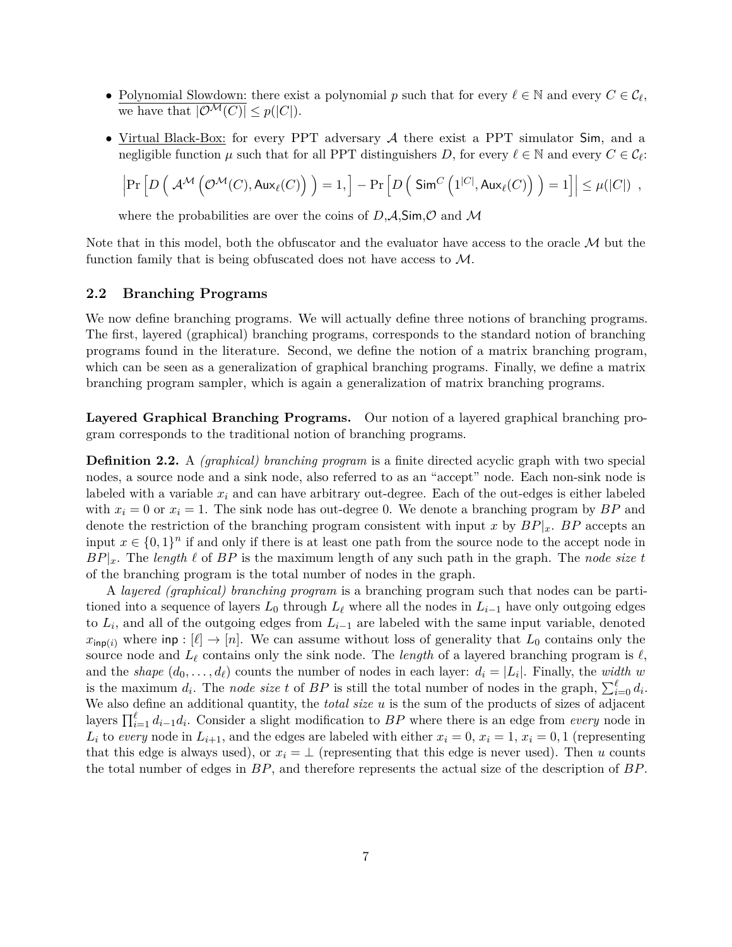- Polynomial Slowdown: there exist a polynomial *p* such that for every  $\ell \in \mathbb{N}$  and every  $C \in \mathcal{C}_{\ell}$ , we have that  $|\mathcal{O}^{\mathcal{M}}(C)| \leq p(|C|)$ .
- Virtual Black-Box: for every PPT adversary  $A$  there exist a PPT simulator Sim, and a negligible function  $\mu$  such that for all PPT distinguishers *D*, for every  $\ell \in \mathbb{N}$  and every  $C \in \mathcal{C}_{\ell}$ :

$$
\left|\Pr\left[D\left(\right.\mathcal{A}^{\mathcal{M}}\left(\mathcal{O}^{\mathcal{M}}(C),\mathsf{Aux}_{\ell}(C)\right)\,\right)=1,\right]-\Pr\left[D\left(\right.\mathsf{Sim}^{C}\left(1^{|C|},\mathsf{Aux}_{\ell}(C)\right)\,\right)=1\right]\right|\leq\mu(|C|)\enspace,
$$

where the probabilities are over the coins of  $D, A, Sim, O$  and M

Note that in this model, both the obfuscator and the evaluator have access to the oracle  $\mathcal M$  but the function family that is being obfuscated does not have access to M.

#### <span id="page-7-0"></span>**2.2 Branching Programs**

We now define branching programs. We will actually define three notions of branching programs. The first, layered (graphical) branching programs, corresponds to the standard notion of branching programs found in the literature. Second, we define the notion of a matrix branching program, which can be seen as a generalization of graphical branching programs. Finally, we define a matrix branching program sampler, which is again a generalization of matrix branching programs.

**Layered Graphical Branching Programs.** Our notion of a layered graphical branching program corresponds to the traditional notion of branching programs.

**Definition 2.2.** A *(graphical) branching program* is a finite directed acyclic graph with two special nodes, a source node and a sink node, also referred to as an "accept" node. Each non-sink node is labeled with a variable *x<sup>i</sup>* and can have arbitrary out-degree. Each of the out-edges is either labeled with  $x_i = 0$  or  $x_i = 1$ . The sink node has out-degree 0. We denote a branching program by  $BP$  and denote the restriction of the branching program consistent with input *x* by  $BP|_x$ . *BP* accepts an input  $x \in \{0,1\}^n$  if and only if there is at least one path from the source node to the accept node in  $BP|_x$ . The *length*  $\ell$  of  $BP$  is the maximum length of any such path in the graph. The *node size t* of the branching program is the total number of nodes in the graph.

A *layered (graphical) branching program* is a branching program such that nodes can be partitioned into a sequence of layers  $L_0$  through  $L_\ell$  where all the nodes in  $L_{i-1}$  have only outgoing edges to *L<sup>i</sup>* , and all of the outgoing edges from *Li*−<sup>1</sup> are labeled with the same input variable, denoted  $x_{\text{inp}(i)}$  where inp :  $[\ell] \rightarrow [n]$ . We can assume without loss of generality that  $L_0$  contains only the source node and  $L_\ell$  contains only the sink node. The *length* of a layered branching program is  $\ell$ . and the *shape*  $(d_0, \ldots, d_\ell)$  counts the number of nodes in each layer:  $d_i = |L_i|$ . Finally, the *width w* is the maximum  $d_i$ . The *node size t* of  $BP$  is still the total number of nodes in the graph,  $\sum_{i=0}^{\ell} d_i$ . We also define an additional quantity, the *total size u* is the sum of the products of sizes of adjacent layers  $\prod_{i=1}^{\ell} d_{i-1} d_i$ . Consider a slight modification to *BP* where there is an edge from *every* node in *L*<sup>*i*</sup> to *every* node in  $L_{i+1}$ , and the edges are labeled with either  $x_i = 0, x_i = 1, x_i = 0, 1$  (representing that this edge is always used), or  $x_i = \perp$  (representing that this edge is never used). Then *u* counts the total number of edges in *BP*, and therefore represents the actual size of the description of *BP*.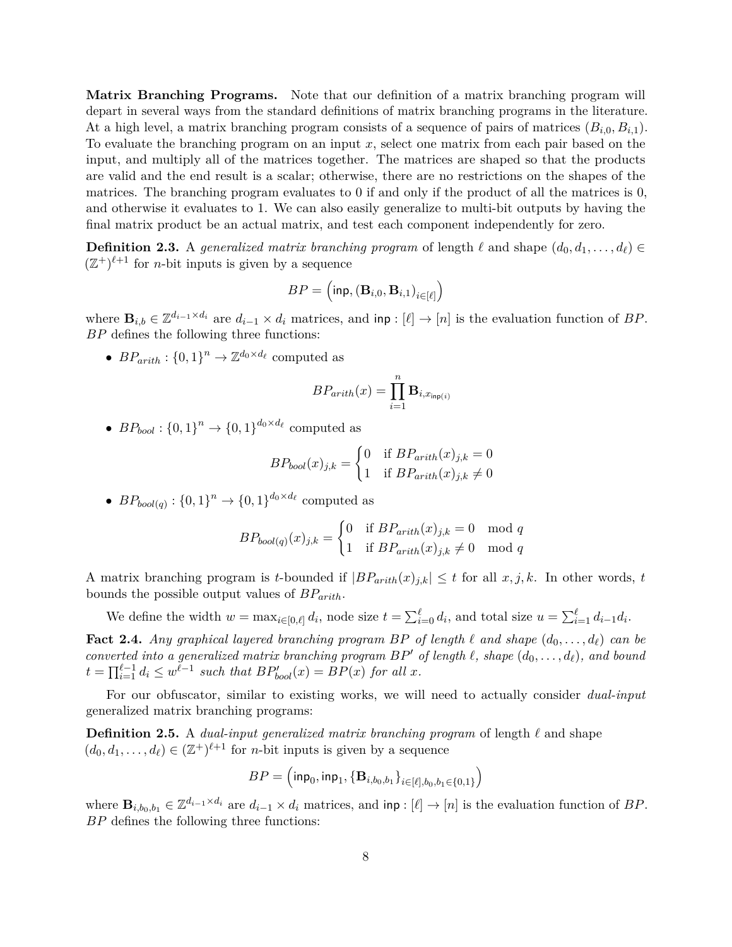**Matrix Branching Programs.** Note that our definition of a matrix branching program will depart in several ways from the standard definitions of matrix branching programs in the literature. At a high level, a matrix branching program consists of a sequence of pairs of matrices (*Bi,*0*, Bi,*1). To evaluate the branching program on an input *x*, select one matrix from each pair based on the input, and multiply all of the matrices together. The matrices are shaped so that the products are valid and the end result is a scalar; otherwise, there are no restrictions on the shapes of the matrices. The branching program evaluates to 0 if and only if the product of all the matrices is 0, and otherwise it evaluates to 1. We can also easily generalize to multi-bit outputs by having the final matrix product be an actual matrix, and test each component independently for zero.

**Definition 2.3.** A generalized matrix branching program of length  $\ell$  and shape  $(d_0, d_1, \ldots, d_\ell) \in$  $(\mathbb{Z}^+)^{\ell+1}$  for *n*-bit inputs is given by a sequence

$$
BP = \left(\mathsf{inp}, \left(\mathbf{B}_{i,0}, \mathbf{B}_{i,1}\right)_{i \in [\ell]}\right)
$$

where  $\mathbf{B}_{i,b} \in \mathbb{Z}^{d_{i-1} \times d_i}$  are  $d_{i-1} \times d_i$  matrices, and  $\text{inp} : [\ell] \to [n]$  is the evaluation function of *BP*. *BP* defines the following three functions:

•  $BP_{arith}: \{0,1\}^n \to \mathbb{Z}^{d_0 \times d_\ell}$  computed as

$$
BP_{arith}(x) = \prod_{i=1}^{n} \mathbf{B}_{i,x_{\mathsf{inp}(i)}}
$$

•  $BP_{bool}: \{0,1\}^n \to \{0,1\}^{d_0 \times d_\ell}$  computed as

$$
BP_{bool}(x)_{j,k} = \begin{cases} 0 & \text{if } BP_{arith}(x)_{j,k} = 0\\ 1 & \text{if } BP_{arith}(x)_{j,k} \neq 0 \end{cases}
$$

•  $BP_{bool(q)}: \{0,1\}^n \to \{0,1\}^{d_0 \times d_\ell}$  computed as

$$
BP_{bool(q)}(x)_{j,k} = \begin{cases} 0 & \text{if } BP_{arith}(x)_{j,k} = 0 \mod q \\ 1 & \text{if } BP_{arith}(x)_{j,k} \neq 0 \mod q \end{cases}
$$

A matrix branching program is *t*-bounded if  $|BP_{arith}(x)_{j,k}| \leq t$  for all  $x, j, k$ . In other words, *t* bounds the possible output values of *BParith*.

We define the width  $w = \max_{i \in [0,\ell]} d_i$ , node size  $t = \sum_{i=0}^{\ell} d_i$ , and total size  $u = \sum_{i=1}^{\ell} d_{i-1} d_i$ .

**Fact 2.4.** Any graphical layered branching program BP of length  $\ell$  and shape  $(d_0, \ldots, d_\ell)$  can be  $i$  *converted into a generalized matrix branching program*  $BP'$  *of length*  $\ell$ *, shape*  $(d_0, \ldots, d_\ell)$ *, and bound*  $t = \prod_{i=1}^{\ell-1} d_i \leq w^{\ell-1}$  such that  $BP'_{bool}(x) = BP(x)$  for all *x*.

For our obfuscator, similar to existing works, we will need to actually consider *dual-input* generalized matrix branching programs:

**Definition 2.5.** A *dual-input generalized matrix branching program* of length  $\ell$  and shape  $(d_0, d_1, \ldots, d_\ell) \in (\mathbb{Z}^+)^{\ell+1}$  for *n*-bit inputs is given by a sequence

$$
BP = \left(\mathsf{inp}_0, \mathsf{inp}_1, \{\mathbf{B}_{i, b_0, b_1}\}_{i \in [\ell], b_0, b_1 \in \{0, 1\}}\right)
$$

where  $\mathbf{B}_{i,b_0,b_1} \in \mathbb{Z}^{d_{i-1} \times d_i}$  are  $d_{i-1} \times d_i$  matrices, and  $\text{inp} : [\ell] \to [n]$  is the evaluation function of *BP*. *BP* defines the following three functions: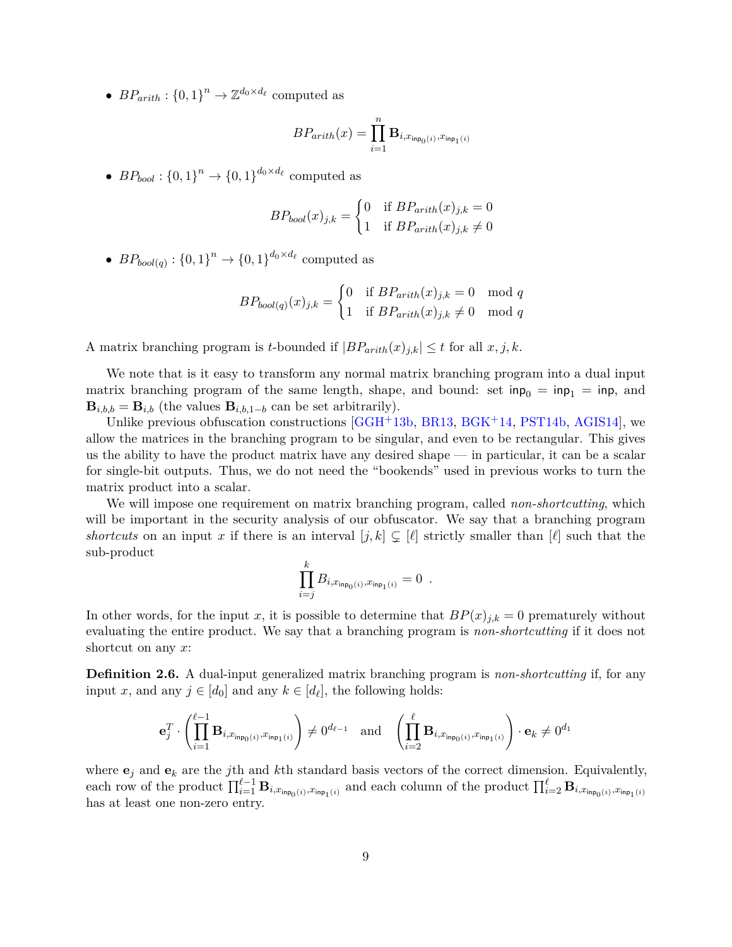•  $BP_{arith}: \{0,1\}^n \to \mathbb{Z}^{d_0 \times d_\ell}$  computed as

$$
BP_{arith}(x) = \prod_{i=1}^n \mathbf{B}_{i, x_{\mathsf{inp}_0(i)}, x_{\mathsf{inp}_1(i)}}
$$

•  $BP_{bool}: \{0,1\}^n \rightarrow \{0,1\}^{d_0 \times d_\ell}$  computed as

$$
BP_{bool}(x)_{j,k} = \begin{cases} 0 & \text{if } BP_{arith}(x)_{j,k} = 0\\ 1 & \text{if } BP_{arith}(x)_{j,k} \neq 0 \end{cases}
$$

•  $BP_{bool(q)}: \{0,1\}^n \to \{0,1\}^{d_0 \times d_\ell}$  computed as

$$
BP_{bool(q)}(x)_{j,k} = \begin{cases} 0 & \text{if } BP_{arith}(x)_{j,k} = 0 \mod q \\ 1 & \text{if } BP_{arith}(x)_{j,k} \neq 0 \mod q \end{cases}
$$

A matrix branching program is *t*-bounded if  $|BP_{arith}(x)_{j,k}| \leq t$  for all  $x, j, k$ .

We note that is it easy to transform any normal matrix branching program into a dual input matrix branching program of the same length, shape, and bound: set  $\text{inp}_0 = \text{inp}_1 = \text{inp}_1$  and  $\mathbf{B}_{i,b,b} = \mathbf{B}_{i,b}$  (the values  $\mathbf{B}_{i,b,1-b}$  can be set arbitrarily).

Unlike previous obfuscation constructions [\[GGH](#page-30-0)+13b, [BR13,](#page-29-10) [BGK](#page-29-3)+14, [PST14b,](#page-30-5) [AGIS14\]](#page-29-1), we allow the matrices in the branching program to be singular, and even to be rectangular. This gives us the ability to have the product matrix have any desired shape — in particular, it can be a scalar for single-bit outputs. Thus, we do not need the "bookends" used in previous works to turn the matrix product into a scalar.

We will impose one requirement on matrix branching program, called *non-shortcutting*, which will be important in the security analysis of our obfuscator. We say that a branching program *shortcuts* on an input *x* if there is an interval  $[j, k] \subsetneq [\ell]$  strictly smaller than  $[\ell]$  such that the sub-product

$$
\prod_{i=j}^k B_{i,x_{\text{inp}_0(i)},x_{\text{inp}_1(i)}} = 0 \enspace .
$$

In other words, for the input *x*, it is possible to determine that  $BP(x)_{j,k} = 0$  prematurely without evaluating the entire product. We say that a branching program is *non-shortcutting* if it does not shortcut on any *x*:

**Definition 2.6.** A dual-input generalized matrix branching program is *non-shortcutting* if, for any input *x*, and any  $j \in [d_0]$  and any  $k \in [d_\ell]$ , the following holds:

$$
\mathbf{e}_j^T \cdot \left( \prod_{i=1}^{\ell-1} \mathbf{B}_{i,x_{\mathsf{inp}_0(i)},x_{\mathsf{inp}_1(i)}} \right) \neq 0^{d_{\ell-1}} \quad \text{and} \quad \left( \prod_{i=2}^{\ell} \mathbf{B}_{i,x_{\mathsf{inp}_0(i)},x_{\mathsf{inp}_1(i)}} \right) \cdot \mathbf{e}_k \neq 0^{d_1}
$$

where  $e_j$  and  $e_k$  are the *j*th and *k*th standard basis vectors of the correct dimension. Equivalently, each row of the product  $\prod_{i=1}^{\ell-1} \mathbf{B}_{i,x_{\mathsf{inp}_0(i)},x_{\mathsf{inp}_1(i)}}$  and each column of the product  $\prod_{i=2}^{\ell} \mathbf{B}_{i,x_{\mathsf{inp}_0(i)},x_{\mathsf{inp}_1(i)}}$ has at least one non-zero entry.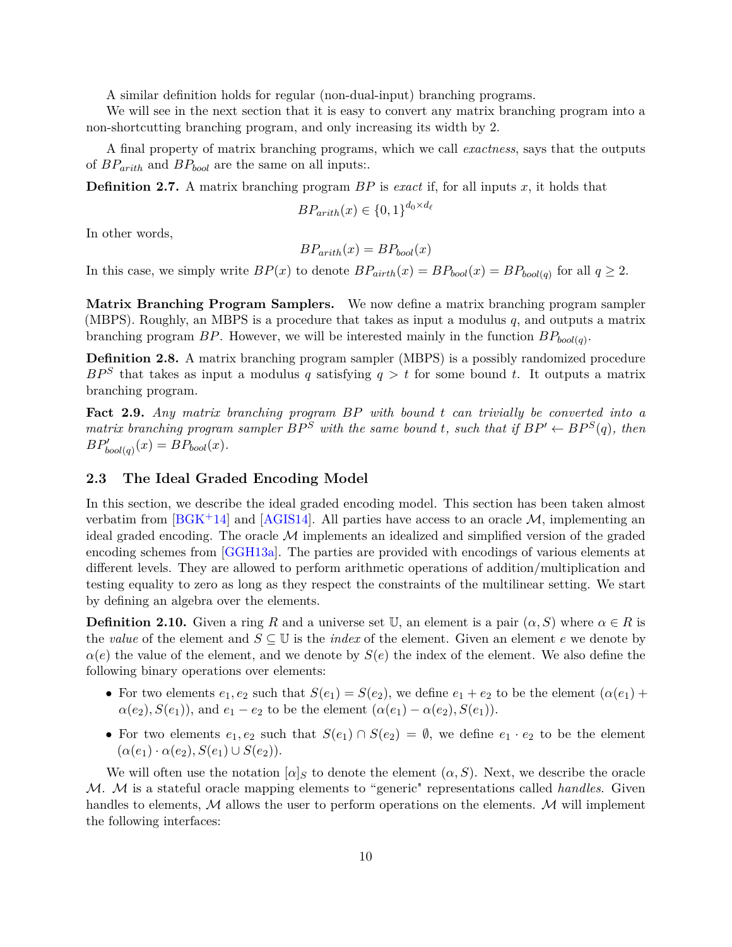A similar definition holds for regular (non-dual-input) branching programs.

We will see in the next section that it is easy to convert any matrix branching program into a non-shortcutting branching program, and only increasing its width by 2.

A final property of matrix branching programs, which we call *exactness*, says that the outputs of *BParith* and *BPbool* are the same on all inputs:.

**Definition 2.7.** A matrix branching program *BP* is *exact* if, for all inputs *x*, it holds that

$$
BP_{arith}(x) \in \{0,1\}^{d_0 \times d_\ell}
$$

In other words,

$$
BP_{arith}(x) = BP_{bool}(x)
$$

In this case, we simply write  $BP(x)$  to denote  $BP_{airth}(x) = BP_{bool}(x) = BP_{bool(q)}$  for all  $q \geq 2$ .

**Matrix Branching Program Samplers.** We now define a matrix branching program sampler (MBPS). Roughly, an MBPS is a procedure that takes as input a modulus *q*, and outputs a matrix branching program *BP*. However, we will be interested mainly in the function *BPbool*(*q*) .

**Definition 2.8.** A matrix branching program sampler (MBPS) is a possibly randomized procedure  $BP^S$  that takes as input a modulus *q* satisfying  $q > t$  for some bound *t*. It outputs a matrix branching program.

**Fact 2.9.** *Any matrix branching program BP with bound t can trivially be converted into a matrix branching program sampler*  $BP^S$  *with the same bound t, such that if*  $BP' \leftarrow BP^S(q)$ *, then*  $BP'_{bool}(q)(x) = BP_{bool}(x)$ .

#### **2.3 The Ideal Graded Encoding Model**

In this section, we describe the ideal graded encoding model. This section has been taken almost verbatim from  $[\text{BGK}^+14]$  and  $[\text{AGIS14}]$ . All parties have access to an oracle M, implementing an ideal graded encoding. The oracle  $\mathcal M$  implements an idealized and simplified version of the graded encoding schemes from [\[GGH13a\]](#page-29-4). The parties are provided with encodings of various elements at different levels. They are allowed to perform arithmetic operations of addition/multiplication and testing equality to zero as long as they respect the constraints of the multilinear setting. We start by defining an algebra over the elements.

**Definition 2.10.** Given a ring R and a universe set U, an element is a pair  $(\alpha, S)$  where  $\alpha \in R$  is the *value* of the element and  $S \subseteq \mathbb{U}$  is the *index* of the element. Given an element *e* we denote by  $\alpha$ (*e*) the value of the element, and we denote by  $S(e)$  the index of the element. We also define the following binary operations over elements:

- For two elements  $e_1, e_2$  such that  $S(e_1) = S(e_2)$ , we define  $e_1 + e_2$  to be the element  $(\alpha(e_1) + \alpha(e_2))$ *a*(*e*<sub>2</sub>), *S*(*e*<sub>1</sub>)), and *e*<sub>1</sub> − *e*<sub>2</sub> to be the element (*a*(*e*<sub>1</sub>) − *a*(*e*<sub>2</sub>), *S*(*e*<sub>1</sub>)).
- For two elements  $e_1, e_2$  such that  $S(e_1) \cap S(e_2) = \emptyset$ , we define  $e_1 \cdot e_2$  to be the element  $(\alpha(e_1) \cdot \alpha(e_2), S(e_1) \cup S(e_2)).$

We will often use the notation  $[\alpha]_S$  to denote the element  $(\alpha, S)$ . Next, we describe the oracle M. M is a stateful oracle mapping elements to "generic" representations called *handles*. Given handles to elements,  $\mathcal M$  allows the user to perform operations on the elements.  $\mathcal M$  will implement the following interfaces: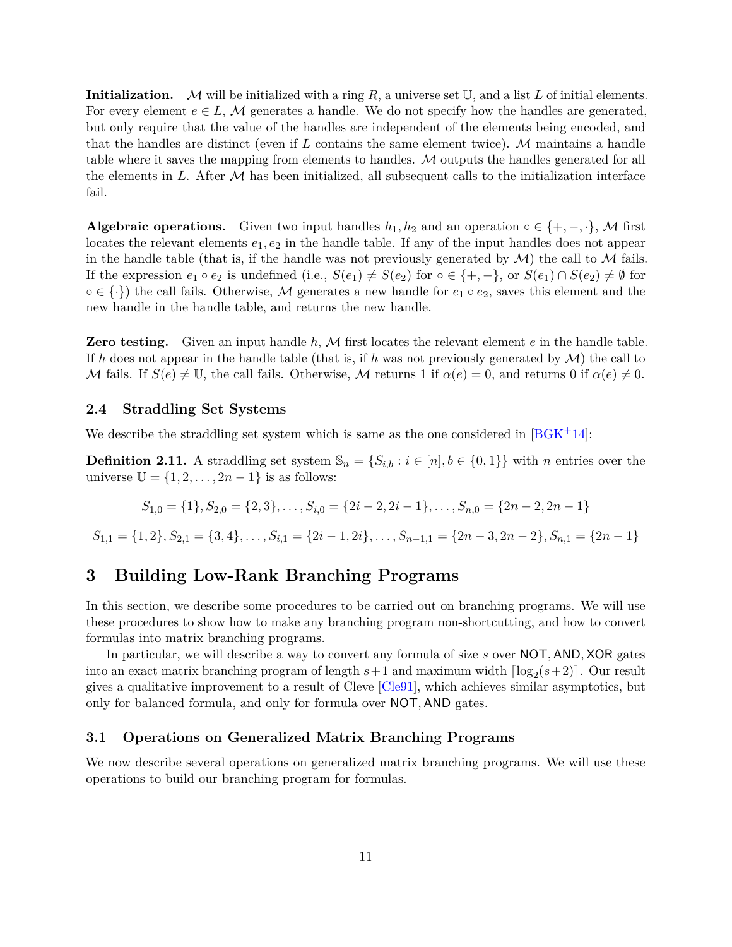**Initialization.** M will be initialized with a ring *R*, a universe set U, and a list *L* of initial elements. For every element  $e \in L$ , M generates a handle. We do not specify how the handles are generated, but only require that the value of the handles are independent of the elements being encoded, and that the handles are distinct (even if *L* contains the same element twice). M maintains a handle table where it saves the mapping from elements to handles. M outputs the handles generated for all the elements in  $L$ . After  $M$  has been initialized, all subsequent calls to the initialization interface fail.

**Algebraic operations.** Given two input handles  $h_1, h_2$  and an operation  $\circ \in \{+, -, \cdot\}, \mathcal{M}$  first locates the relevant elements  $e_1, e_2$  in the handle table. If any of the input handles does not appear in the handle table (that is, if the handle was not previously generated by  $\mathcal{M}$ ) the call to  $\mathcal M$  fails. If the expression  $e_1 \circ e_2$  is undefined (i.e.,  $S(e_1) \neq S(e_2)$  for  $\circ \in \{+, -\}$ , or  $S(e_1) \cap S(e_2) \neq \emptyset$  for  $\circ \in \{\cdot\}\$  the call fails. Otherwise, M generates a new handle for  $e_1 \circ e_2$ , saves this element and the new handle in the handle table, and returns the new handle.

**Zero testing.** Given an input handle *h*, M first locates the relevant element *e* in the handle table. If h does not appear in the handle table (that is, if h was not previously generated by  $\mathcal{M}$ ) the call to M fails. If  $S(e) \neq \mathbb{U}$ , the call fails. Otherwise, M returns 1 if  $\alpha(e) = 0$ , and returns 0 if  $\alpha(e) \neq 0$ .

#### **2.4 Straddling Set Systems**

We describe the straddling set system which is same as the one considered in  $[BGK^+14]$  $[BGK^+14]$ :

**Definition 2.11.** A straddling set system  $\mathbb{S}_n = \{S_{i,b} : i \in [n], b \in \{0,1\}\}\$  with *n* entries over the universe  $\mathbb{U} = \{1, 2, \ldots, 2n - 1\}$  is as follows:

$$
S_{1,0} = \{1\}, S_{2,0} = \{2,3\}, \ldots, S_{i,0} = \{2i-2,2i-1\}, \ldots, S_{n,0} = \{2n-2,2n-1\}
$$

 $S_{1,1} = \{1,2\}, S_{2,1} = \{3,4\}, \ldots, S_{i,1} = \{2i-1,2i\}, \ldots, S_{n-1,1} = \{2n-3,2n-2\}, S_{n,1} = \{2n-1\}$ 

### <span id="page-11-0"></span>**3 Building Low-Rank Branching Programs**

In this section, we describe some procedures to be carried out on branching programs. We will use these procedures to show how to make any branching program non-shortcutting, and how to convert formulas into matrix branching programs.

In particular, we will describe a way to convert any formula of size *s* over NOT*,* AND*,* XOR gates into an exact matrix branching program of length  $s+1$  and maximum width  $\lceil \log_2(s+2) \rceil$ . Our result gives a qualitative improvement to a result of Cleve [\[Cle91\]](#page-29-9), which achieves similar asymptotics, but only for balanced formula, and only for formula over NOT*,* AND gates.

#### **3.1 Operations on Generalized Matrix Branching Programs**

We now describe several operations on generalized matrix branching programs. We will use these operations to build our branching program for formulas.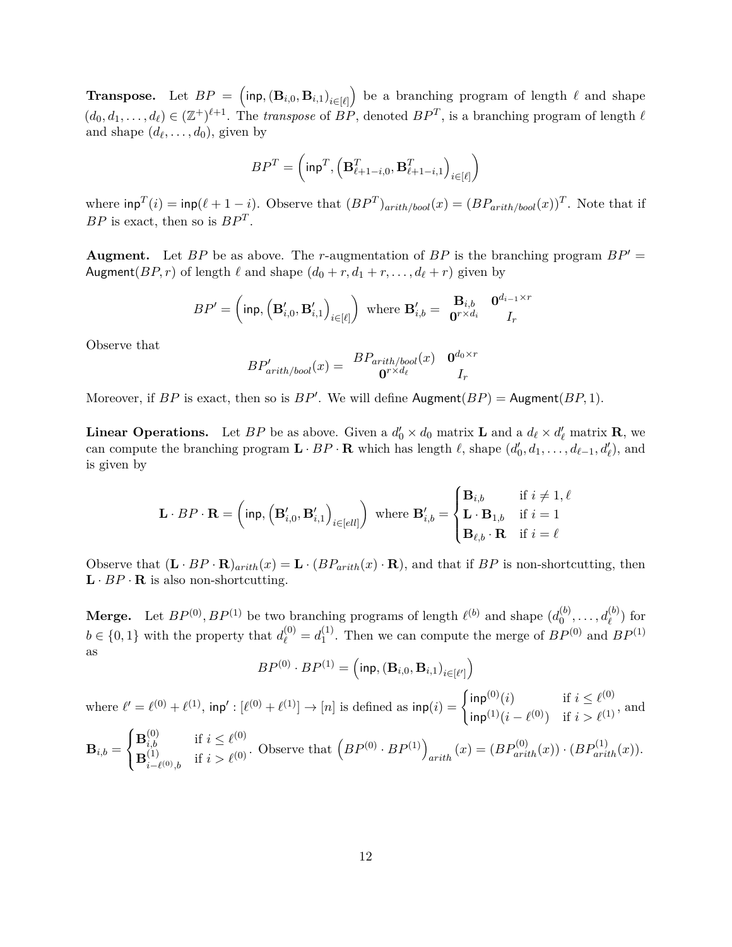**Transpose.** Let  $BP = (\mathsf{inp}, (\mathbf{B}_{i,0}, \mathbf{B}_{i,1})_{i \in [\ell]})$  be a branching program of length  $\ell$  and shape  $(d_0, d_1, \ldots, d_\ell) \in (\mathbb{Z}^+)^{\ell+1}$ . The *transpose* of  $BP$ , denoted  $BP^T$ , is a branching program of length  $\ell$ and shape  $(d_{\ell}, \ldots, d_0)$ , given by

$$
BP^T = \left(\text{inp}^T, \left(\mathbf{B}_{\ell+1-i,0}^T, \mathbf{B}_{\ell+1-i,1}^T\right)_{i \in [\ell]}\right)
$$

where  $\text{inp}^T(i) = \text{inp}(\ell + 1 - i)$ . Observe that  $(BP^T)_{arith/bool}(x) = (BP_{arith/bool}(x))^T$ . Note that if *BP* is exact, then so is *BP<sup>T</sup>* .

**Augment.** Let *BP* be as above. The *r*-augmentation of *BP* is the branching program  $BP' =$ Augment(*BP*, *r*) of length  $\ell$  and shape  $(d_0 + r, d_1 + r, \ldots, d_\ell + r)$  given by

$$
BP' = \left(\mathsf{inp}, \left(\mathbf{B}_{i,0}', \mathbf{B}_{i,1}'\right)_{i \in [\ell]}\right) \text{ where } \mathbf{B}_{i,b}' = \begin{array}{c c c} \mathbf{B}_{i,b} & \mathbf{0}^{d_{i-1} \times r} \\ \mathbf{0}^{r \times d_i} & I_r \end{array}
$$

Observe that

$$
BP'_{arith/bool}(x) = \begin{array}{cc} BP_{arith/bool}(x) & \mathbf{0}^{d_0 \times r} \\ \mathbf{0}^{r \times d_\ell} & I_r \end{array}
$$

Moreover, if  $BP$  is exact, then so is  $BP'$ . We will define  $\text{Augment}(BP) = \text{Augment}(BP, 1)$ .

**Linear Operations.** Let *BP* be as above. Given a  $d'_0 \times d_0$  matrix **L** and a  $d_\ell \times d'_\ell$  matrix **R**, we can compute the branching program  $\mathbf{L} \cdot BP \cdot \mathbf{R}$  which has length  $\ell$ , shape  $(d'_0, d_1, \ldots, d_{\ell-1}, d'_{\ell})$ , and is given by

$$
\mathbf{L} \cdot BP \cdot \mathbf{R} = \left(\text{inp}, \left(\mathbf{B}_{i,0}', \mathbf{B}_{i,1}'\right)_{i \in [ell]}\right) \text{ where } \mathbf{B}_{i,b}' = \begin{cases} \mathbf{B}_{i,b} & \text{if } i \neq 1, \ell \\ \mathbf{L} \cdot \mathbf{B}_{1,b} & \text{if } i = 1 \\ \mathbf{B}_{\ell,b} \cdot \mathbf{R} & \text{if } i = \ell \end{cases}
$$

Observe that  $(\mathbf{L} \cdot BP \cdot \mathbf{R})_{arith}(x) = \mathbf{L} \cdot (BP_{arith}(x) \cdot \mathbf{R})$ , and that if *BP* is non-shortcutting, then  $\mathbf{L} \cdot BP \cdot \mathbf{R}$  is also non-shortcutting.

**Merge.** Let  $BP^{(0)}, BP^{(1)}$  be two branching programs of length  $\ell^{(b)}$  and shape  $(d_0^{(b)})$  $a_0^{(b)}, \ldots, a_{\ell}^{(b)}$  for  $b \in \{0, 1\}$  with the property that  $d_{\ell}^{(0)} = d_1^{(1)}$ <sup>(1)</sup>. Then we can compute the merge of  $BP^{(0)}$  and  $BP^{(1)}$ as

 $BP^{(0)} \cdot BP^{(1)} = \left( \mathsf{inp}, (\mathbf{B}_{i,0}, \mathbf{B}_{i,1})_{i \in [\ell']} \right)$ 

where  $\ell' = \ell^{(0)} + \ell^{(1)}$ ,  $\text{inp'} : [\ell^{(0)} + \ell^{(1)}] \to [n]$  is defined as  $\text{inp}(i) = \begin{cases} \text{inp}(0)(i) & \text{if } i \leq \ell^{(0)} \\ \text{if } i \leq \ell^{(1)} \end{cases}$  $\inf_{i=1}^{\infty}$   $(i - \ell^{(0)})$  if  $i > \ell^{(1)}$ , and  $\mathbf{B}_{i,b} = % \begin{cases} \mathbf{B}_{i} & \text{if } i \neq j \ 0 \leq j \leq n \end{cases}$  $\sqrt{ }$ J  $\mathcal{L}$ **B**<sup>(0)</sup><sub>*i*,*b*</sub> if  $i \leq \ell^{(0)}$  $\mathbf{B}_i^{(1)}$ *i*,*b* if  $i > \ell^{(0)}$ . Observe that  $\left( BP^{(0)} \cdot BP^{(1)} \right)_{arith}(x) = \left( BP_{arith}^{(0)}(x) \right) \cdot \left( BP_{arith}^{(1)}(x) \right)$ .<br> *i*– $\ell^{(0)},$  *b* if  $i > \ell^{(0)}$ .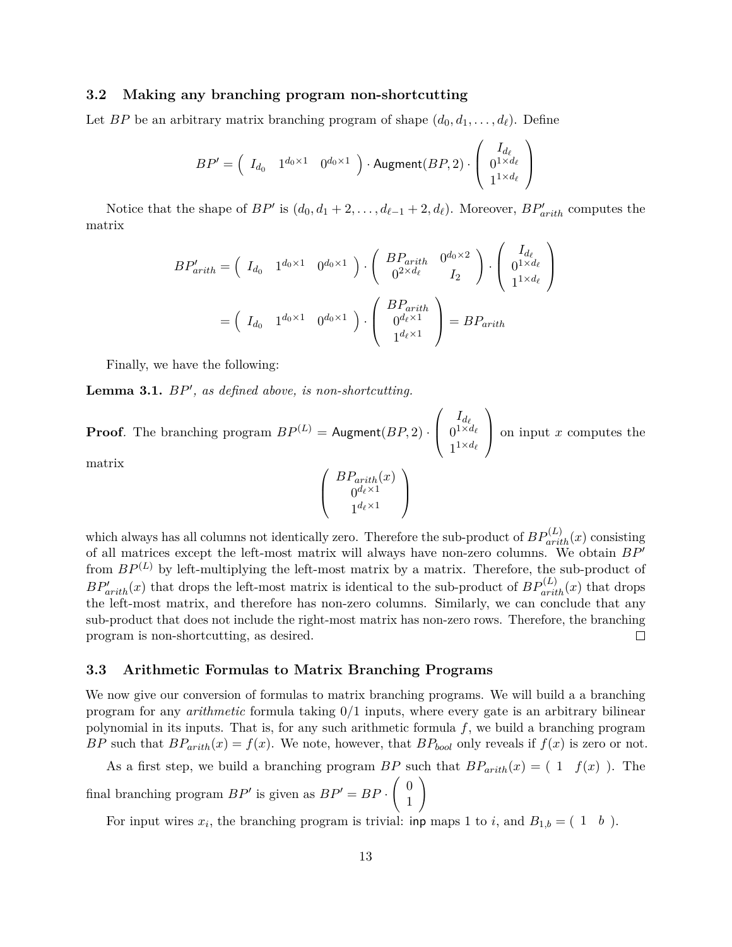#### **3.2 Making any branching program non-shortcutting**

Let *BP* be an arbitrary matrix branching program of shape  $(d_0, d_1, \ldots, d_\ell)$ . Define

$$
BP' = \begin{pmatrix} I_{d_0} & 1^{d_0 \times 1} & 0^{d_0 \times 1} \end{pmatrix} \cdot \text{Augment}(BP, 2) \cdot \begin{pmatrix} I_{d_\ell} \\ 0^{1 \times d_\ell} \\ 1^{1 \times d_\ell} \end{pmatrix}
$$

Notice that the shape of  $BP'$  is  $(d_0, d_1 + 2, \ldots, d_{\ell-1} + 2, d_{\ell})$ . Moreover,  $BP'_{arith}$  computes the matrix

$$
BP'_{arith} = \begin{pmatrix} I_{d_0} & 1^{d_0 \times 1} & 0^{d_0 \times 1} \end{pmatrix} \cdot \begin{pmatrix} BP_{arith} & 0^{d_0 \times 2} \\ 0^{2 \times d_\ell} & I_2 \end{pmatrix} \cdot \begin{pmatrix} I_{d_\ell} \\ 0^{1 \times d_\ell} \\ 1^{1 \times d_\ell} \end{pmatrix}
$$

$$
= \begin{pmatrix} I_{d_0} & 1^{d_0 \times 1} & 0^{d_0 \times 1} \end{pmatrix} \cdot \begin{pmatrix} BP_{arith} \\ 0^{d_\ell \times 1} \\ 1^{d_\ell \times 1} \end{pmatrix} = BP_{arith}
$$

Finally, we have the following:

<span id="page-13-0"></span>Lemma 3.1.  $BP'$ , as defined above, is non-shortcutting.

**Proof**. The branching program  $BP^{(L)} =$  Augment $(BP, 2)$ .  $\sqrt{ }$  $\overline{ }$  $I_{d_\ell}$  $0^{1\times d_\ell}$  $1^{1 \times d_{\ell}}$  $\setminus$  on input *<sup>x</sup>* computes the matrix

$$
\left(\begin{array}{c} BP_{arith}(x) \\ 0^{d_\ell \times 1} \\ 1^{d_\ell \times 1} \end{array}\right)
$$

which always has all columns not identically zero. Therefore the sub-product of  $BP_{arith}^{(L)}(x)$  consisting of all matrices except the left-most matrix will always have non-zero columns. We obtain  $BP'$ from  $BP^{(L)}$  by left-multiplying the left-most matrix by a matrix. Therefore, the sub-product of  $BP'_{arith}(x)$  that drops the left-most matrix is identical to the sub-product of  $BP^{(L)}_{arith}(x)$  that drops the left-most matrix, and therefore has non-zero columns. Similarly, we can conclude that any sub-product that does not include the right-most matrix has non-zero rows. Therefore, the branching program is non-shortcutting, as desired.  $\Box$ 

#### **3.3 Arithmetic Formulas to Matrix Branching Programs**

We now give our conversion of formulas to matrix branching programs. We will build a a branching program for any *arithmetic* formula taking 0*/*1 inputs, where every gate is an arbitrary bilinear polynomial in its inputs. That is, for any such arithmetic formula *f*, we build a branching program *BP* such that  $BP_{arith}(x) = f(x)$ . We note, however, that  $BP_{bool}$  only reveals if  $f(x)$  is zero or not.

As a first step, we build a branching program *BP* such that  $BP_{arith}(x) = (1 \quad f(x))$ . The final branching program  $BP'$  is given as  $BP' = BP \cdot \begin{pmatrix} 0 & 0 \\ 0 & 1 \end{pmatrix}$ 1  $\setminus$ 

For input wires  $x_i$ , the branching program is trivial: inp maps 1 to *i*, and  $B_{1,b} = (1 \quad b)$ .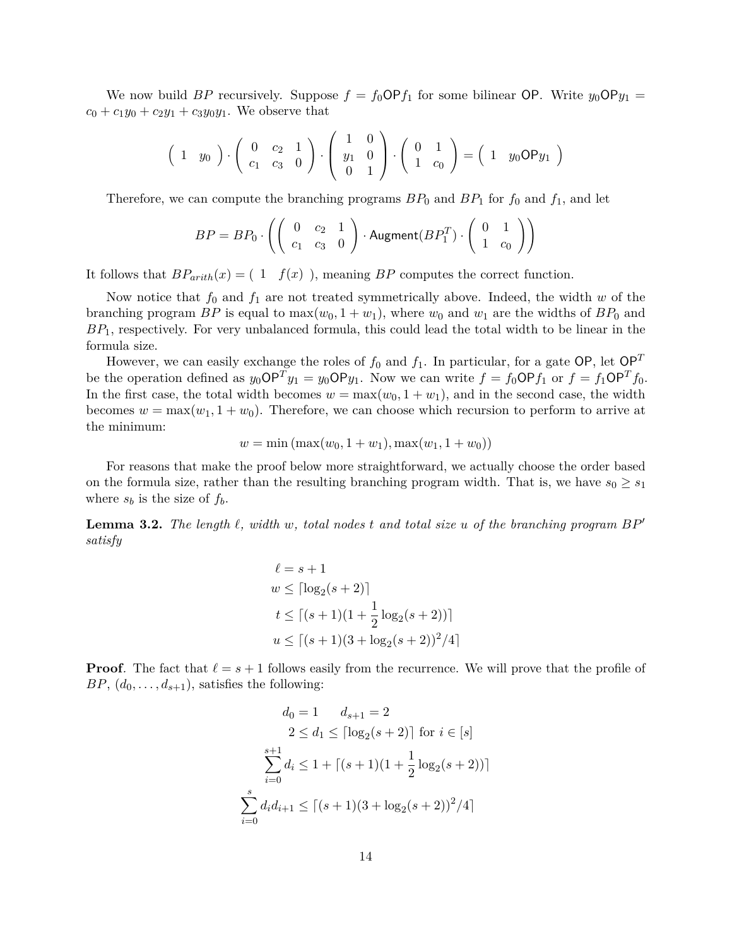We now build *BP* recursively. Suppose  $f = f_0 \text{OP} f_1$  for some bilinear OP. Write  $y_0 \text{OP} y_1 =$  $c_0 + c_1y_0 + c_2y_1 + c_3y_0y_1$ . We observe that

$$
\begin{pmatrix} 1 & y_0 \end{pmatrix} \cdot \begin{pmatrix} 0 & c_2 & 1 \\ c_1 & c_3 & 0 \end{pmatrix} \cdot \begin{pmatrix} 1 & 0 \\ y_1 & 0 \\ 0 & 1 \end{pmatrix} \cdot \begin{pmatrix} 0 & 1 \\ 1 & c_0 \end{pmatrix} = \begin{pmatrix} 1 & y_0 \text{OP} y_1 \end{pmatrix}
$$

Therefore, we can compute the branching programs  $BP_0$  and  $BP_1$  for  $f_0$  and  $f_1$ , and let

$$
BP = BP_0 \cdot \left( \left( \begin{array}{cc} 0 & c_2 & 1 \\ c_1 & c_3 & 0 \end{array} \right) \cdot \text{Augment}(BP_1^T) \cdot \left( \begin{array}{cc} 0 & 1 \\ 1 & c_0 \end{array} \right) \right)
$$

It follows that  $BP_{arith}(x) = (1 \quad f(x))$ , meaning *BP* computes the correct function.

Now notice that  $f_0$  and  $f_1$  are not treated symmetrically above. Indeed, the width  $w$  of the branching program *BP* is equal to  $\max(w_0, 1 + w_1)$ , where  $w_0$  and  $w_1$  are the widths of  $BP_0$  and *BP*1, respectively. For very unbalanced formula, this could lead the total width to be linear in the formula size.

However, we can easily exchange the roles of  $f_0$  and  $f_1$ . In particular, for a gate OP, let OP<sup>T</sup> be the operation defined as  $y_0 \text{OP}^T y_1 = y_0 \text{OP} y_1$ . Now we can write  $f = f_0 \text{OP} f_1$  or  $f = f_1 \text{OP}^T f_0$ . In the first case, the total width becomes  $w = \max(w_0, 1 + w_1)$ , and in the second case, the width becomes  $w = \max(w_1, 1 + w_0)$ . Therefore, we can choose which recursion to perform to arrive at the minimum:

$$
w = \min(\max(w_0, 1 + w_1), \max(w_1, 1 + w_0))
$$

For reasons that make the proof below more straightforward, we actually choose the order based on the formula size, rather than the resulting branching program width. That is, we have  $s_0 \geq s_1$ where  $s_b$  is the size of  $f_b$ .

**Lemma 3.2.** The length  $\ell$ , width  $w$ , total nodes  $t$  and total size  $u$  of the branching program  $BP'$ *satisfy*

$$
\ell = s + 1
$$
  
\n
$$
w \leq \lceil \log_2(s + 2) \rceil
$$
  
\n
$$
t \leq \lceil (s + 1)(1 + \frac{1}{2} \log_2(s + 2)) \rceil
$$
  
\n
$$
u \leq \lceil (s + 1)(3 + \log_2(s + 2))^2 / 4 \rceil
$$

**Proof**. The fact that  $\ell = s + 1$  follows easily from the recurrence. We will prove that the profile of *BP*,  $(d_0, \ldots, d_{s+1})$ , satisfies the following:

$$
d_0 = 1 \t d_{s+1} = 2
$$
  
\n
$$
2 \le d_1 \le \lceil \log_2(s+2) \rceil \text{ for } i \in [s]
$$
  
\n
$$
\sum_{i=0}^{s+1} d_i \le 1 + \lceil (s+1)(1 + \frac{1}{2} \log_2(s+2)) \rceil
$$
  
\n
$$
\sum_{i=0}^{s} d_i d_{i+1} \le \lceil (s+1)(3 + \log_2(s+2))^2 / 4 \rceil
$$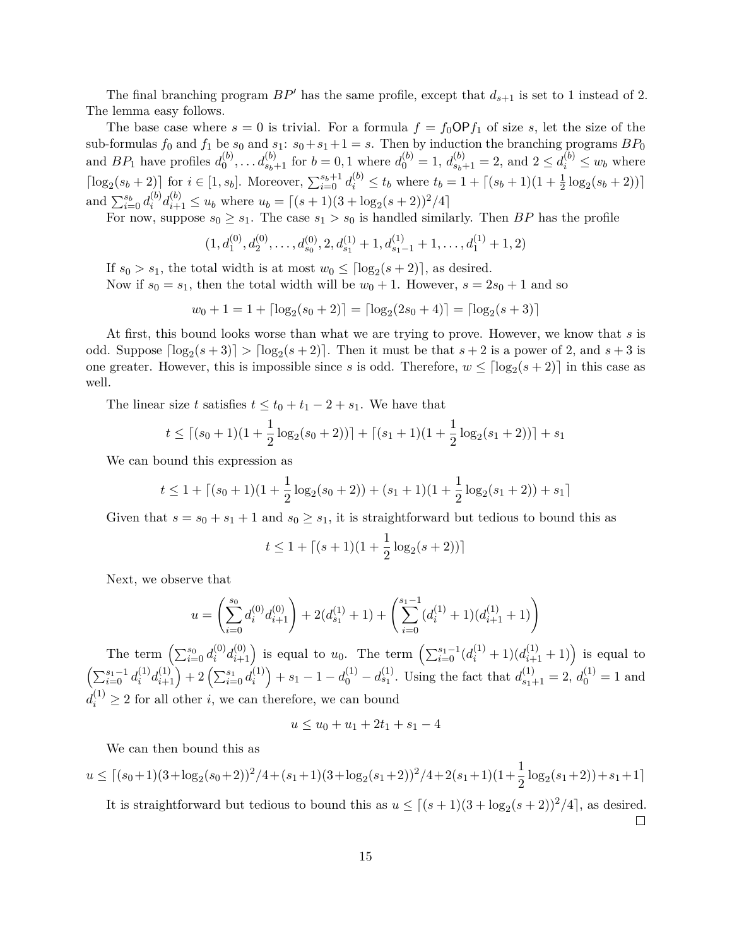The final branching program  $BP'$  has the same profile, except that  $d_{s+1}$  is set to 1 instead of 2. The lemma easy follows.

The base case where  $s = 0$  is trivial. For a formula  $f = f_0 \text{OP} f_1$  of size *s*, let the size of the sub-formulas  $f_0$  and  $f_1$  be  $s_0$  and  $s_1: s_0 + s_1 + 1 = s$ . Then by induction the branching programs  $BP_0$ and  $BP_1$  have profiles  $d_0^{(b)}$  $a_0^{(b)}, \ldots, a_{s_b+1}^{(b)}$  for  $b = 0, 1$  where  $d_0^{(b)} = 1, d_{s_b+1}^{(b)} = 2$ , and  $2 \le d_i^{(b)} \le w_b$  where  $\lceil \log_2(s_b+2) \rceil$  for  $i \in [1, s_b]$ . Moreover,  $\sum_{i=0}^{s_b+1} d_i^{(b)} \le t_b$  where  $t_b = 1 + \lceil (s_b+1)(1+\frac{1}{2}\log_2(s_b+2)) \rceil$ and  $\sum_{i=0}^{s_b} d_i^{(b)}$  $a_i^{(b)} d_{i+1}^{(b)} \le u_b$  where  $u_b = \lceil (s+1)(3 + \log_2(s+2))^2/4 \rceil$ 

For now, suppose  $s_0 \geq s_1$ . The case  $s_1 > s_0$  is handled similarly. Then *BP* has the profile

$$
(1, d_1^{(0)}, d_2^{(0)}, \dots, d_{s_0}^{(0)}, 2, d_{s_1}^{(1)} + 1, d_{s_1-1}^{(1)} + 1, \dots, d_1^{(1)} + 1, 2)
$$

If  $s_0 > s_1$ , the total width is at most  $w_0 \leq \lceil \log_2(s+2) \rceil$ , as desired. Now if  $s_0 = s_1$ , then the total width will be  $w_0 + 1$ . However,  $s = 2s_0 + 1$  and so

$$
w_0 + 1 = 1 + \lceil \log_2(s_0 + 2) \rceil = \lceil \log_2(2s_0 + 4) \rceil = \lceil \log_2(s + 3) \rceil
$$

At first, this bound looks worse than what we are trying to prove. However, we know that *s* is odd. Suppose  $\lceil \log_2(s+3) \rceil > \lceil \log_2(s+2) \rceil$ . Then it must be that  $s+2$  is a power of 2, and  $s+3$  is one greater. However, this is impossible since *s* is odd. Therefore,  $w \leq \lceil \log_2(s+2) \rceil$  in this case as well.

The linear size *t* satisfies  $t \le t_0 + t_1 - 2 + s_1$ . We have that

$$
t \le \lceil (s_0+1)(1+\frac{1}{2}\log_2(s_0+2)) \rceil + \lceil (s_1+1)(1+\frac{1}{2}\log_2(s_1+2)) \rceil + s_1
$$

We can bound this expression as

$$
t \le 1 + \lceil (s_0 + 1)(1 + \frac{1}{2}\log_2(s_0 + 2)) + (s_1 + 1)(1 + \frac{1}{2}\log_2(s_1 + 2)) + s_1 \rceil
$$

Given that  $s = s_0 + s_1 + 1$  and  $s_0 \geq s_1$ , it is straightforward but tedious to bound this as

$$
t \le 1 + \lceil (s+1)(1+\frac{1}{2}\log_2(s+2)) \rceil
$$

Next, we observe that

$$
u = \left(\sum_{i=0}^{s_0} d_i^{(0)} d_{i+1}^{(0)}\right) + 2(d_{s_1}^{(1)} + 1) + \left(\sum_{i=0}^{s_1 - 1} (d_i^{(1)} + 1)(d_{i+1}^{(1)} + 1)\right)
$$

The term  $\left(\sum_{i=0}^{s_0} d_i^{(0)}\right)$  $\binom{0}{i} d_{i+1}^{(0)}$  is equal to *u*<sub>0</sub>. The term  $\left( \sum_{i=0}^{s_1-1} (d_i^{(1)} + 1)(d_{i+1}^{(1)} + 1) \right)$  is equal to  $\left(\sum_{i=0}^{s_1-1} d_i^{(1)}\right)$  $\binom{1}{i} d_{i+1}^{(1)}$  + 2  $\left( \sum_{i=0}^{s_1} d_i^{(1)} \right)$  $a_i^{(1)}$  + *s*<sub>1</sub> - 1 - *d*<sub>0</sub><sup>(1)</sup></sup> - *d*<sub>s<sub>1</sub><sup>(1)</sup></sup>. Using the fact that  $d_{s_1+1}^{(1)} = 2$ ,  $d_0^{(1)} = 1$  and</sub>  $d_i^{(1)} \geq 2$  for all other *i*, we can therefore, we can bound

$$
u \le u_0 + u_1 + 2t_1 + s_1 - 4
$$

We can then bound this as

 $u \leq \left[ (s_0+1)(3+\log_2(s_0+2))^2/4 + (s_1+1)(3+\log_2(s_1+2))^2/4 + 2(s_1+1)(1+\frac{1}{2}\log_2(s_1+2)) + s_1+1 \right]$ 

It is straightforward but tedious to bound this as  $u \leq \lfloor (s+1)(3 + \log_2(s+2))^2/4 \rfloor$ , as desired.  $\Box$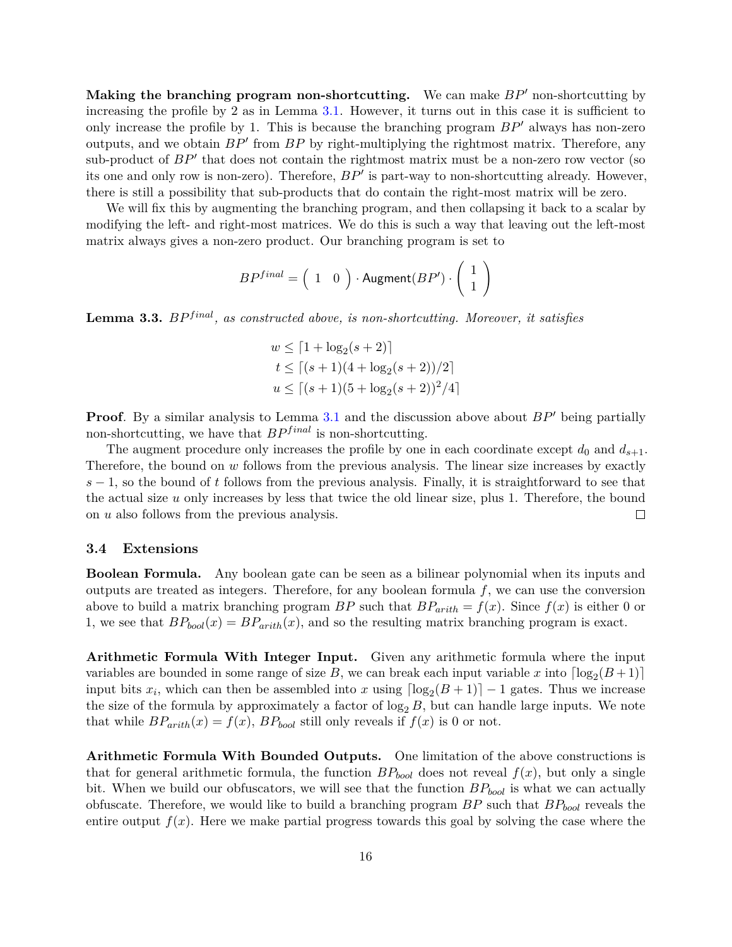**Making the branching program non-shortcutting.** We can make  $BP'$  non-shortcutting by increasing the profile by 2 as in Lemma [3.1.](#page-13-0) However, it turns out in this case it is sufficient to only increase the profile by 1. This is because the branching program  $BP'$  always has non-zero outputs, and we obtain  $BP'$  from  $BP$  by right-multiplying the rightmost matrix. Therefore, any sub-product of  $BP'$  that does not contain the rightmost matrix must be a non-zero row vector (so its one and only row is non-zero). Therefore,  $BP'$  is part-way to non-shortcutting already. However, there is still a possibility that sub-products that do contain the right-most matrix will be zero.

We will fix this by augmenting the branching program, and then collapsing it back to a scalar by modifying the left- and right-most matrices. We do this is such a way that leaving out the left-most matrix always gives a non-zero product. Our branching program is set to

$$
BP^{final} = \left( \begin{array}{cc} 1 & 0 \end{array} \right) \cdot \text{Augment}(BP') \cdot \left( \begin{array}{c} 1 \\ 1 \end{array} \right)
$$

Lemma 3.3. *BP*<sup>*final*</sup>, as constructed above, is non-shortcutting. Moreover, it satisfies

$$
w \le [1 + \log_2(s + 2)]
$$
  
\n
$$
t \le [(s + 1)(4 + \log_2(s + 2))/2]
$$
  
\n
$$
u \le [(s + 1)(5 + \log_2(s + 2))^2/4]
$$

**Proof**. By a similar analysis to Lemma [3.1](#page-13-0) and the discussion above about  $BP'$  being partially non-shortcutting, we have that  $BP^{final}$  is non-shortcutting.

The augment procedure only increases the profile by one in each coordinate except  $d_0$  and  $d_{s+1}$ . Therefore, the bound on *w* follows from the previous analysis. The linear size increases by exactly *s* − 1, so the bound of *t* follows from the previous analysis. Finally, it is straightforward to see that the actual size *u* only increases by less that twice the old linear size, plus 1. Therefore, the bound on *u* also follows from the previous analysis.  $\Box$ 

#### **3.4 Extensions**

**Boolean Formula.** Any boolean gate can be seen as a bilinear polynomial when its inputs and outputs are treated as integers. Therefore, for any boolean formula *f*, we can use the conversion above to build a matrix branching program *BP* such that  $BP_{arith} = f(x)$ . Since  $f(x)$  is either 0 or 1, we see that  $BP_{bool}(x) = BP_{arith}(x)$ , and so the resulting matrix branching program is exact.

**Arithmetic Formula With Integer Input.** Given any arithmetic formula where the input variables are bounded in some range of size  $B$ , we can break each input variable  $x$  into  $\lceil \log_2(B+1) \rceil$ input bits  $x_i$ , which can then be assembled into  $x$  using  $\lceil \log_2(B+1) \rceil - 1$  gates. Thus we increase the size of the formula by approximately a factor of  $\log_2 B$ , but can handle large inputs. We note that while  $BP_{arith}(x) = f(x)$ ,  $BP_{bool}$  still only reveals if  $f(x)$  is 0 or not.

**Arithmetic Formula With Bounded Outputs.** One limitation of the above constructions is that for general arithmetic formula, the function  $BP_{bool}$  does not reveal  $f(x)$ , but only a single bit. When we build our obfuscators, we will see that the function *BPbool* is what we can actually obfuscate. Therefore, we would like to build a branching program *BP* such that *BPbool* reveals the entire output  $f(x)$ . Here we make partial progress towards this goal by solving the case where the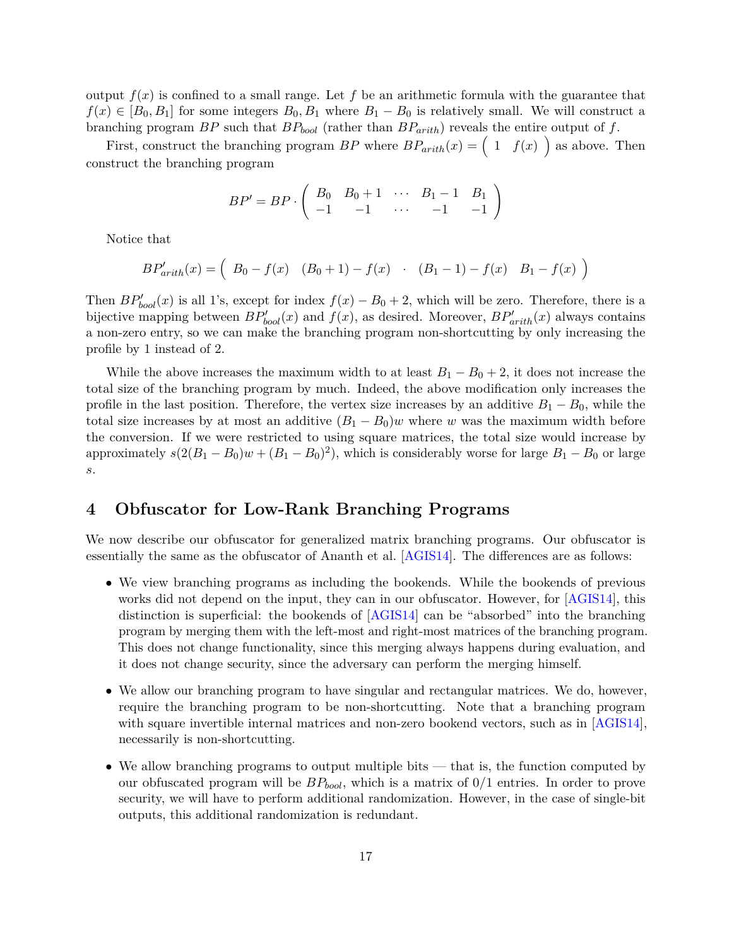output  $f(x)$  is confined to a small range. Let f be an arithmetic formula with the guarantee that  $f(x) \in [B_0, B_1]$  for some integers  $B_0, B_1$  where  $B_1 - B_0$  is relatively small. We will construct a branching program *BP* such that *BPbool* (rather than *BParith*) reveals the entire output of *f*.

First, construct the branching program  $BP$  where  $BP_{arith}(x) = \begin{pmatrix} 1 & f(x) \end{pmatrix}$  as above. Then construct the branching program

$$
BP' = BP \cdot \left( \begin{array}{cccc} B_0 & B_0 + 1 & \cdots & B_1 - 1 & B_1 \\ -1 & -1 & \cdots & -1 & -1 \end{array} \right)
$$

Notice that

$$
BP'_{arith}(x) = \left(B_0 - f(x) \quad (B_0 + 1) - f(x) \quad (B_1 - 1) - f(x) \quad B_1 - f(x)\right)
$$

Then  $BP'_{bool}(x)$  is all 1's, except for index  $f(x) - B_0 + 2$ , which will be zero. Therefore, there is a bijective mapping between  $BP'_{bool}(x)$  and  $f(x)$ , as desired. Moreover,  $BP'_{arith}(x)$  always contains a non-zero entry, so we can make the branching program non-shortcutting by only increasing the profile by 1 instead of 2.

While the above increases the maximum width to at least  $B_1 - B_0 + 2$ , it does not increase the total size of the branching program by much. Indeed, the above modification only increases the profile in the last position. Therefore, the vertex size increases by an additive  $B_1 - B_0$ , while the total size increases by at most an additive  $(B_1 - B_0)w$  where w was the maximum width before the conversion. If we were restricted to using square matrices, the total size would increase by approximately  $s(2(B_1 - B_0)w + (B_1 - B_0)^2)$ , which is considerably worse for large  $B_1 - B_0$  or large *s*.

# **4 Obfuscator for Low-Rank Branching Programs**

We now describe our obfuscator for generalized matrix branching programs. Our obfuscator is essentially the same as the obfuscator of Ananth et al. [\[AGIS14\]](#page-29-1). The differences are as follows:

- We view branching programs as including the bookends. While the bookends of previous works did not depend on the input, they can in our obfuscator. However, for [\[AGIS14\]](#page-29-1), this distinction is superficial: the bookends of [\[AGIS14\]](#page-29-1) can be "absorbed" into the branching program by merging them with the left-most and right-most matrices of the branching program. This does not change functionality, since this merging always happens during evaluation, and it does not change security, since the adversary can perform the merging himself.
- We allow our branching program to have singular and rectangular matrices. We do, however, require the branching program to be non-shortcutting. Note that a branching program with square invertible internal matrices and non-zero bookend vectors, such as in [\[AGIS14\]](#page-29-1), necessarily is non-shortcutting.
- We allow branching programs to output multiple bits that is, the function computed by our obfuscated program will be *BPbool*, which is a matrix of 0/1 entries. In order to prove security, we will have to perform additional randomization. However, in the case of single-bit outputs, this additional randomization is redundant.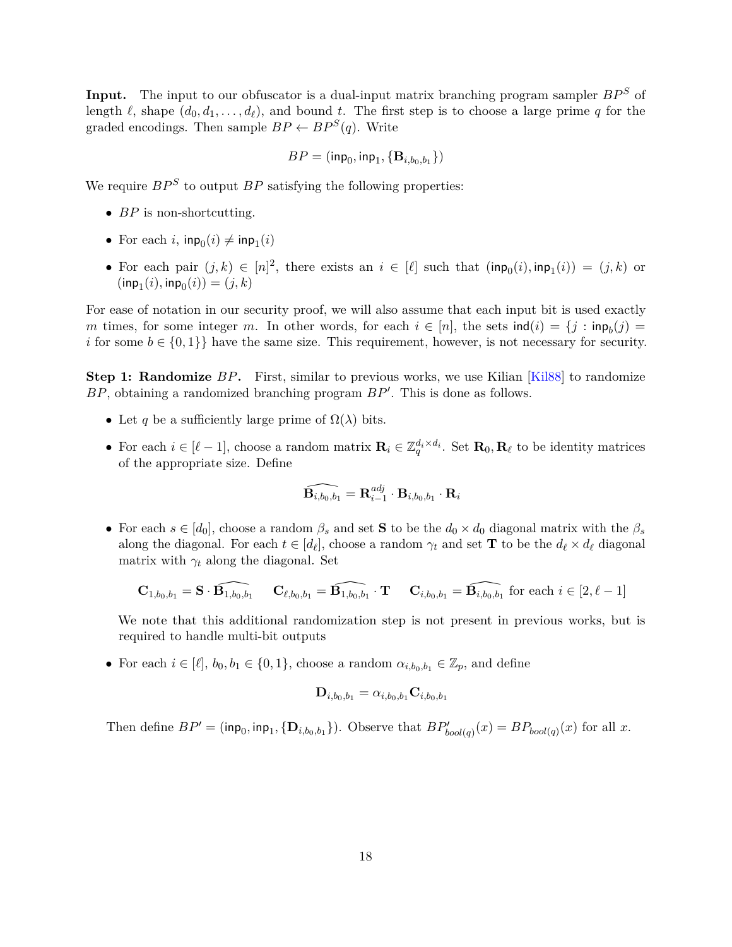**Input.** The input to our obfuscator is a dual-input matrix branching program sampler  $BP^S$  of length  $\ell$ , shape  $(d_0, d_1, \ldots, d_\ell)$ , and bound *t*. The first step is to choose a large prime *q* for the graded encodings. Then sample  $BP \leftarrow BP^S(q)$ . Write

$$
BP = (\mathsf{inp}_0, \mathsf{inp}_1, \{\mathbf{B}_{i, b_0, b_1}\})
$$

We require  $BP^S$  to output  $BP$  satisfying the following properties:

- *BP* is non-shortcutting.
- For each  $i$ ,  $\mathsf{inp}_0(i) \neq \mathsf{inp}_1(i)$
- For each pair  $(j,k) \in [n]^2$ , there exists an  $i \in [\ell]$  such that  $(\mathsf{inp}_0(i), \mathsf{inp}_1(i)) = (j,k)$  or  $(\textsf{inp}_{1}(i), \textsf{inp}_{0}(i)) = (j, k)$

For ease of notation in our security proof, we will also assume that each input bit is used exactly *m* times, for some integer *m*. In other words, for each  $i \in [n]$ , the sets  $\text{ind}(i) = \{j : \text{inp}_b(j) = j\}$ *i* for some  $b \in \{0,1\}$  have the same size. This requirement, however, is not necessary for security.

**Step 1: Randomize** BP. First, similar to previous works, we use Kilian [\[Kil88\]](#page-30-7) to randomize BP, obtaining a randomized branching program  $BP'$ . This is done as follows.

- Let *q* be a sufficiently large prime of  $\Omega(\lambda)$  bits.
- For each  $i \in [\ell 1]$ , choose a random matrix  $\mathbf{R}_i \in \mathbb{Z}_q^{d_i \times d_i}$ . Set  $\mathbf{R}_0, \mathbf{R}_\ell$  to be identity matrices of the appropriate size. Define

$$
\widehat{\mathbf{B}_{i,b_0,b_1}}=\mathbf{R}_{i-1}^{adj}\cdot \mathbf{B}_{i,b_0,b_1}\cdot \mathbf{R}_{i}
$$

• For each  $s \in [d_0]$ , choose a random  $\beta_s$  and set **S** to be the  $d_0 \times d_0$  diagonal matrix with the  $\beta_s$ along the diagonal. For each  $t \in [d_\ell]$ , choose a random  $\gamma_t$  and set **T** to be the  $d_\ell \times d_\ell$  diagonal matrix with  $\gamma_t$  along the diagonal. Set

$$
\mathbf{C}_{1,b_0,b_1} = \mathbf{S} \cdot \widehat{\mathbf{B}_{1,b_0,b_1}} \qquad \mathbf{C}_{\ell,b_0,b_1} = \widehat{\mathbf{B}_{1,b_0,b_1}} \cdot \mathbf{T} \qquad \mathbf{C}_{i,b_0,b_1} = \widehat{\mathbf{B}_{i,b_0,b_1}} \text{ for each } i \in [2,\ell-1]
$$

We note that this additional randomization step is not present in previous works, but is required to handle multi-bit outputs

• For each  $i \in [\ell], b_0, b_1 \in \{0, 1\}$ , choose a random  $\alpha_{i, b_0, b_1} \in \mathbb{Z}_p$ , and define

$$
\mathbf{D}_{i,b_0,b_1}=\alpha_{i,b_0,b_1}\mathbf{C}_{i,b_0,b_1}
$$

Then define  $BP' = (\mathsf{inp}_0, \mathsf{inp}_1, \{D_{i,b_0,b_1}\})$ . Observe that  $BP'_{bool(q)}(x) = BP_{bool(q)}(x)$  for all *x*.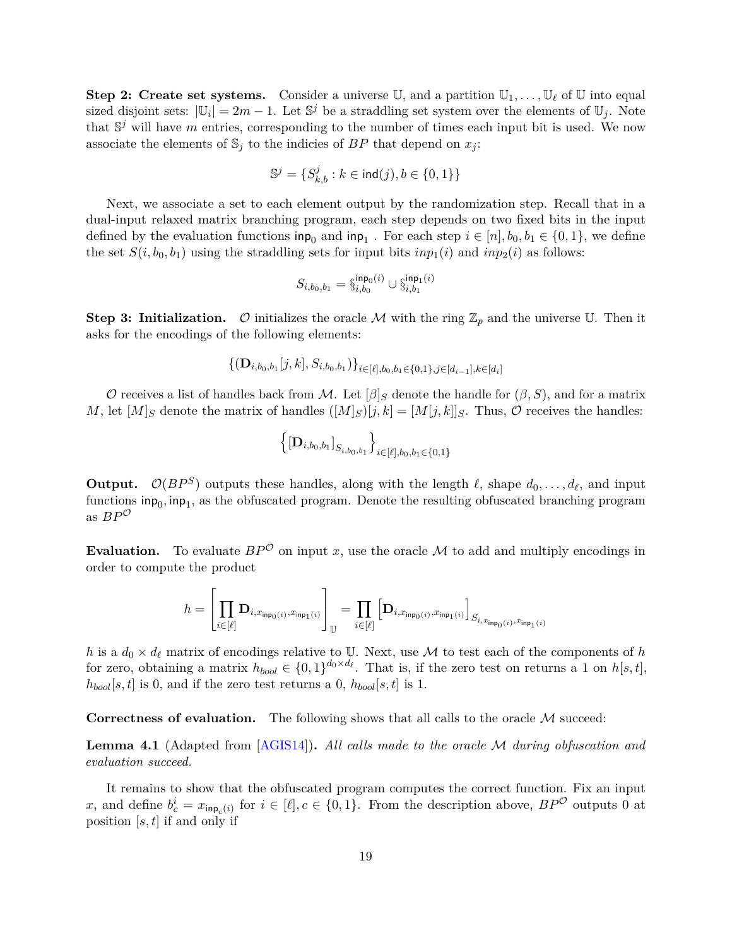**Step 2: Create set systems.** Consider a universe  $\mathbb{U}$ , and a partition  $\mathbb{U}_1, \ldots, \mathbb{U}_\ell$  of  $\mathbb{U}$  into equal sized disjoint sets:  $|\mathbb{U}_i| = 2m - 1$ . Let  $\mathbb{S}^j$  be a straddling set system over the elements of  $\mathbb{U}_j$ . Note that  $\mathbb{S}^j$  will have *m* entries, corresponding to the number of times each input bit is used. We now associate the elements of  $\mathbb{S}_j$  to the indicies of  $BP$  that depend on  $x_j$ :

$$
\mathbb{S}^j=\{S^j_{k,b}:k\in\mathrm{ind}(j),b\in\{0,1\}\}
$$

Next, we associate a set to each element output by the randomization step. Recall that in a dual-input relaxed matrix branching program, each step depends on two fixed bits in the input defined by the evaluation functions  $\text{inp}_0$  and  $\text{inp}_1$ . For each step  $i \in [n], b_0, b_1 \in \{0, 1\}$ , we define the set  $S(i, b_0, b_1)$  using the straddling sets for input bits  $inp_1(i)$  and  $inp_2(i)$  as follows:

$$
S_{i,b_0,b_1}=\S^{\mathsf{inp}_0(i)}_{i,b_0}\cup\S^{\mathsf{inp}_1(i)}_{i,b_1}
$$

**Step 3: Initialization.**  $\mathcal{O}$  initializes the oracle  $\mathcal{M}$  with the ring  $\mathbb{Z}_p$  and the universe U. Then it asks for the encodings of the following elements:

$$
\{(\mathbf{D}_{i,b_0,b_1}[j,k],S_{i,b_0,b_1})\}_{i\in[\ell],b_0,b_1\in\{0,1\},j\in[d_{i-1}],k\in[d_i]}
$$

O receives a list of handles back from M. Let  $\beta|_S$  denote the handle for  $(\beta, S)$ , and for a matrix *M*, let  $[M]_S$  denote the matrix of handles  $([M]_S)[j, k] = [M[j, k]]_S$ . Thus,  $\mathcal O$  receives the handles:

$$
\left\{ \left[ \mathbf{D}_{i, b_0, b_1} \right]_{S_{i, b_0, b_1}} \right\}_{i \in [\ell], b_0, b_1 \in \{0, 1\}}
$$

**Output.**  $\mathcal{O}(BP^S)$  outputs these handles, along with the length  $\ell$ , shape  $d_0, \ldots, d_\ell$ , and input functions  $\mathsf{inp}_0, \mathsf{inp}_1$ , as the obfuscated program. Denote the resulting obfuscated branching program as  $BP^{\mathcal{O}}$ 

**Evaluation.** To evaluate  $BP^{\mathcal{O}}$  on input *x*, use the oracle M to add and multiply encodings in order to compute the product

$$
h = \left[\prod_{i \in [\ell]} \mathbf{D}_{i, x_{\mathsf{inp}_0(i)}, x_{\mathsf{inp}_1(i)}}\right]_{\mathbb{U}} = \prod_{i \in [\ell]} \left[\mathbf{D}_{i, x_{\mathsf{inp}_0(i)}, x_{\mathsf{inp}_1(i)}}\right]_{S_{i, x_{\mathsf{inp}_0(i)}, x_{\mathsf{inp}_1(i)}}}
$$

*h* is a  $d_0 \times d_\ell$  matrix of encodings relative to U. Next, use M to test each of the components of *h* for zero, obtaining a matrix  $h_{bool} \in \{0,1\}^{d_0 \times d_\ell}$ . That is, if the zero test on returns a 1 on  $h[s,t]$ ,  $h_{bool}[s, t]$  is 0, and if the zero test returns a 0,  $h_{bool}[s, t]$  is 1.

**Correctness of evaluation.** The following shows that all calls to the oracle M succeed:

**Lemma 4.1** (Adapted from [\[AGIS14\]](#page-29-1))**.** *All calls made to the oracle* M *during obfuscation and evaluation succeed.*

It remains to show that the obfuscated program computes the correct function. Fix an input *x*, and define  $b_c^i = x_{\mathsf{inp}_c(i)}$  for  $i \in [\ell], c \in \{0,1\}$ . From the description above,  $BP^{\mathcal{O}}$  outputs 0 at position [*s, t*] if and only if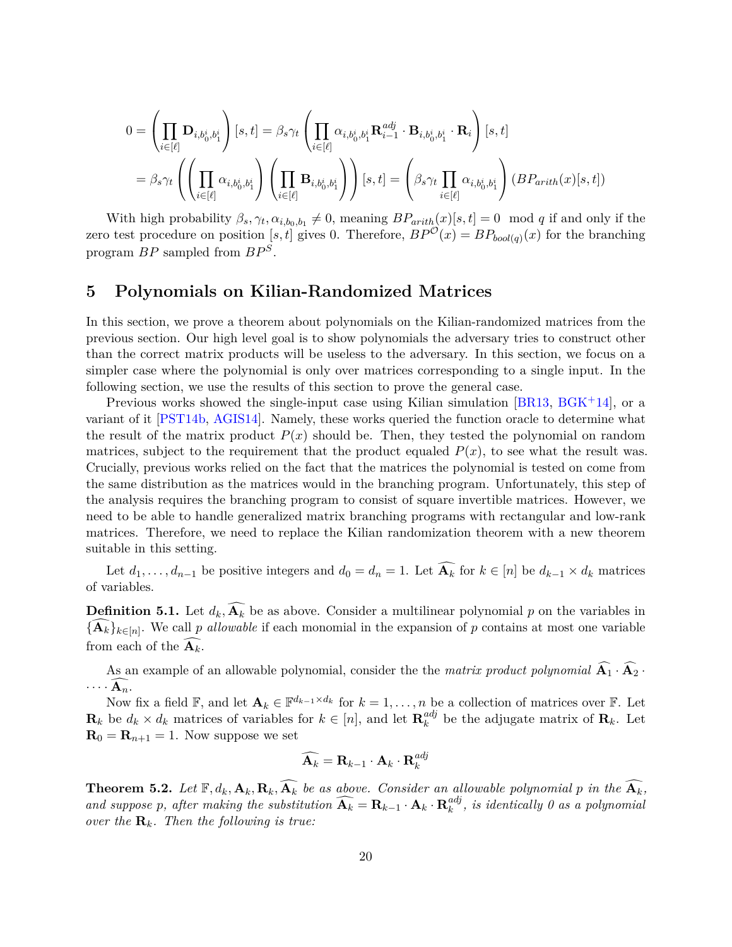$$
0 = \left(\prod_{i \in [\ell]} \mathbf{D}_{i,b_0^i,b_1^i}\right)[s,t] = \beta_s \gamma_t \left(\prod_{i \in [\ell]} \alpha_{i,b_0^i,b_1^i} \mathbf{R}_{i-1}^{adj} \cdot \mathbf{B}_{i,b_0^i,b_1^i} \cdot \mathbf{R}_i\right)[s,t]
$$
  

$$
= \beta_s \gamma_t \left(\left(\prod_{i \in [\ell]} \alpha_{i,b_0^i,b_1^i}\right) \left(\prod_{i \in [\ell]} \mathbf{B}_{i,b_0^i,b_1^i}\right)\right)[s,t] = \left(\beta_s \gamma_t \prod_{i \in [\ell]} \alpha_{i,b_0^i,b_1^i}\right) (BP_{arith}(x)[s,t])
$$

With high probability  $\beta_s, \gamma_t, \alpha_{i,b_0,b_1} \neq 0$ , meaning  $BP_{arith}(x)[s,t] = 0 \mod q$  if and only if the zero test procedure on position [s, t] gives 0. Therefore,  $BP^{\mathcal{O}}(x) = BP_{bool(q)}(x)$  for the branching program *BP* sampled from *BP <sup>S</sup>* .

### <span id="page-20-0"></span>**5 Polynomials on Kilian-Randomized Matrices**

In this section, we prove a theorem about polynomials on the Kilian-randomized matrices from the previous section. Our high level goal is to show polynomials the adversary tries to construct other than the correct matrix products will be useless to the adversary. In this section, we focus on a simpler case where the polynomial is only over matrices corresponding to a single input. In the following section, we use the results of this section to prove the general case.

Previous works showed the single-input case using Kilian simulation [\[BR13,](#page-29-10) [BGK](#page-29-3)+14], or a variant of it [\[PST14b,](#page-30-5) [AGIS14\]](#page-29-1). Namely, these works queried the function oracle to determine what the result of the matrix product  $P(x)$  should be. Then, they tested the polynomial on random matrices, subject to the requirement that the product equaled  $P(x)$ , to see what the result was. Crucially, previous works relied on the fact that the matrices the polynomial is tested on come from the same distribution as the matrices would in the branching program. Unfortunately, this step of the analysis requires the branching program to consist of square invertible matrices. However, we need to be able to handle generalized matrix branching programs with rectangular and low-rank matrices. Therefore, we need to replace the Kilian randomization theorem with a new theorem suitable in this setting.

Let  $d_1, \ldots, d_{n-1}$  be positive integers and  $d_0 = d_n = 1$ . Let  $\widehat{A_k}$  for  $k \in [n]$  be  $d_{k-1} \times d_k$  matrices of variables.

<span id="page-20-2"></span>**Definition 5.1.** Let  $d_k$ ,  $\widehat{A_k}$  be as above. Consider a multilinear polynomial p on the variables in  ${\mathbf \{A}_k\}_{k\in[n]}.$  We call *p allowable* if each monomial in the expansion of *p* contains at most one variable from each of the  $\mathbf{A}_k$ .

As an example of an allowable polynomial, consider the the *matrix product polynomial*  $\widehat{A_1} \cdot \widehat{A_2}$ .  $\cdots \widehat{A_n}$ .

Now fix a field  $\mathbb{F}$ , and let  $\mathbf{A}_k \in \mathbb{F}^{d_{k-1} \times d_k}$  for  $k = 1, \ldots, n$  be a collection of matrices over  $\mathbb{F}$ . Let  $\mathbf{R}_k$  be  $d_k \times d_k$  matrices of variables for  $k \in [n]$ , and let  $\mathbf{R}_k^{adj}$  $_{k}^{adj}$  be the adjugate matrix of  $\mathbf{R}_{k}$ . Let  $\mathbf{R}_0 = \mathbf{R}_{n+1} = 1$ . Now suppose we set

$$
\widehat{\mathbf{A}_k} = \mathbf{R}_{k-1} \cdot \mathbf{A}_k \cdot \mathbf{R}_k^{adj}
$$

<span id="page-20-1"></span>**Theorem 5.2.** Let  $\mathbb{F}, d_k, \mathbf{A}_k, \mathbf{R}_k, \widehat{\mathbf{A}_k}$  be as above. Consider an allowable polynomial p in the  $\widehat{\mathbf{A}_k}$ . *and suppose p, after making the substitution*  $\widehat{A_k} = R_{k-1} \cdot A_k \cdot R_k^{adj}$  $\binom{a}{k}$ , is identically 0 as a polynomial *over the*  $\mathbf{R}_k$ *. Then the following is true:*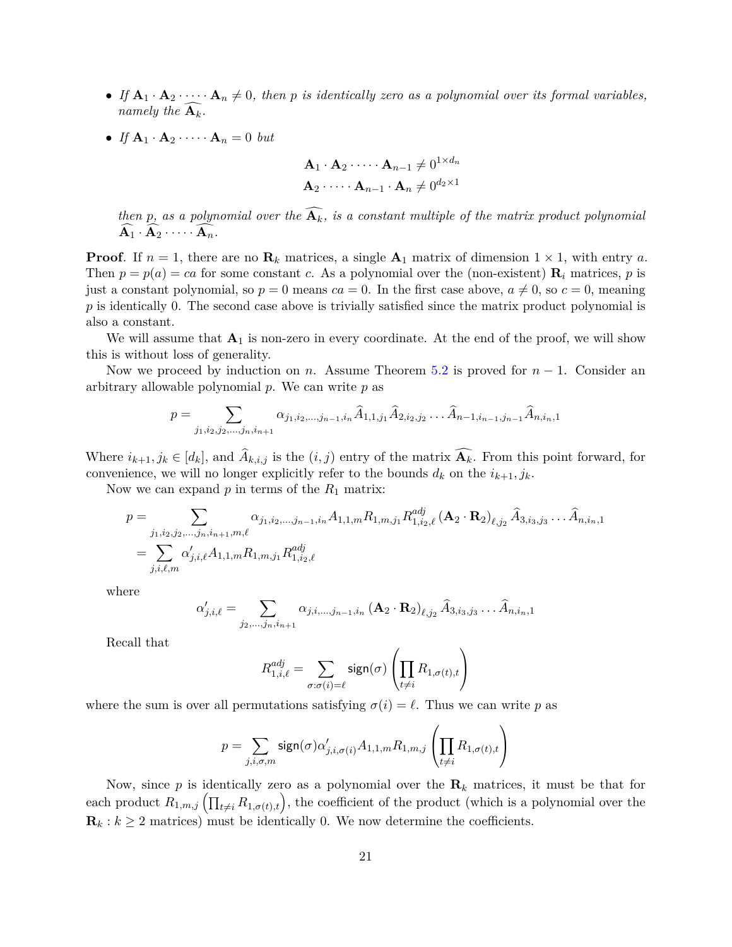- If  $A_1 \cdot A_2 \cdot \cdots \cdot A_n \neq 0$ , then p is identically zero as a polynomial over its formal variables, *namely the*  $\widehat{A_k}$ *.*
- *If*  $\mathbf{A}_1 \cdot \mathbf{A}_2 \cdot \cdots \cdot \mathbf{A}_n = 0$  *but*

$$
\mathbf{A}_1 \cdot \mathbf{A}_2 \cdot \dots \cdot \mathbf{A}_{n-1} \neq 0^{1 \times d_n}
$$

$$
\mathbf{A}_2 \cdot \dots \cdot \mathbf{A}_{n-1} \cdot \mathbf{A}_n \neq 0^{d_2 \times 1}
$$

*then*  $p$ *, as a polynomial over the*  $A_k$ *, is a constant multiple of the matrix product polynomial*  $A_1 \cdot A_2 \cdot \cdots \cdot A_n.$ 

**Proof***.* If  $n = 1$ , there are no  $\mathbf{R}_k$  matrices, a single  $\mathbf{A}_1$  matrix of dimension  $1 \times 1$ , with entry *a*. Then  $p = p(a) = ca$  for some constant *c*. As a polynomial over the (non-existent)  $\mathbf{R}_i$  matrices, *p* is just a constant polynomial, so  $p = 0$  means  $ca = 0$ . In the first case above,  $a \neq 0$ , so  $c = 0$ , meaning p is identically 0. The second case above is trivially satisfied since the matrix product polynomial is also a constant.

We will assume that  $A_1$  is non-zero in every coordinate. At the end of the proof, we will show this is without loss of generality.

Now we proceed by induction on *n*. Assume Theorem [5.2](#page-20-1) is proved for *n* − 1. Consider an arbitrary allowable polynomial *p*. We can write *p* as

$$
p = \sum_{j_1, i_2, j_2, \dots, j_n, i_{n+1}} \alpha_{j_1, i_2, \dots, j_{n-1}, i_n} \hat{A}_{1, 1, j_1} \hat{A}_{2, i_2, j_2} \dots \hat{A}_{n-1, i_{n-1}, j_{n-1}} \hat{A}_{n, i_n, 1}
$$

Where  $i_{k+1}, j_k \in [d_k]$ , and  $A_{k,i,j}$  is the  $(i, j)$  entry of the matrix  $\mathbf{A}_k$ . From this point forward, for convenience, we will no longer explicitly refer to the bounds  $d_k$  on the  $i_{k+1}, j_k$ .

Now we can expand *p* in terms of the *R*<sup>1</sup> matrix:

$$
p = \sum_{\substack{j_1, i_2, j_2, \dots, j_n, i_{n+1}, m, \ell}} \alpha_{j_1, i_2, \dots, j_{n-1}, i_n} A_{1, 1, m} R_{1, m, j_1} R_{1, i_2, \ell}^{adj} (\mathbf{A}_2 \cdot \mathbf{R}_2)_{\ell, j_2} \hat{A}_{3, i_3, j_3} \dots \hat{A}_{n, i_n, 1}
$$
  
= 
$$
\sum_{j, i, \ell, m} \alpha'_{j, i, \ell} A_{1, 1, m} R_{1, m, j_1} R_{1, i_2, \ell}^{adj}
$$

where

$$
\alpha'_{j,i,\ell} = \sum_{j_2,...,j_n,i_{n+1}} \alpha_{j,i,...,j_{n-1},i_n} (\mathbf{A}_2 \cdot \mathbf{R}_2)_{\ell,j_2} \, \widehat{A}_{3,i_3,j_3} \ldots \widehat{A}_{n,i_n,1}
$$

Recall that

$$
R_{1,i,\ell}^{adj} = \sum_{\sigma: \sigma(i) = \ell} \operatorname{sign}(\sigma) \left( \prod_{t \neq i} R_{1,\sigma(t),t} \right)
$$

where the sum is over all permutations satisfying  $\sigma(i) = \ell$ . Thus we can write *p* as

$$
p = \sum_{j,i,\sigma,m} \text{sign}(\sigma) \alpha'_{j,i,\sigma(i)} A_{1,1,m} R_{1,m,j} \left( \prod_{t \neq i} R_{1,\sigma(t),t} \right)
$$

Now, since p is identically zero as a polynomial over the  $\mathbf{R}_k$  matrices, it must be that for each product  $R_{1,m,j}(\prod_{t\neq i}R_{1,\sigma(t),t})$ , the coefficient of the product (which is a polynomial over the  $\mathbf{R}_k : k \geq 2$  matrices) must be identically 0. We now determine the coefficients.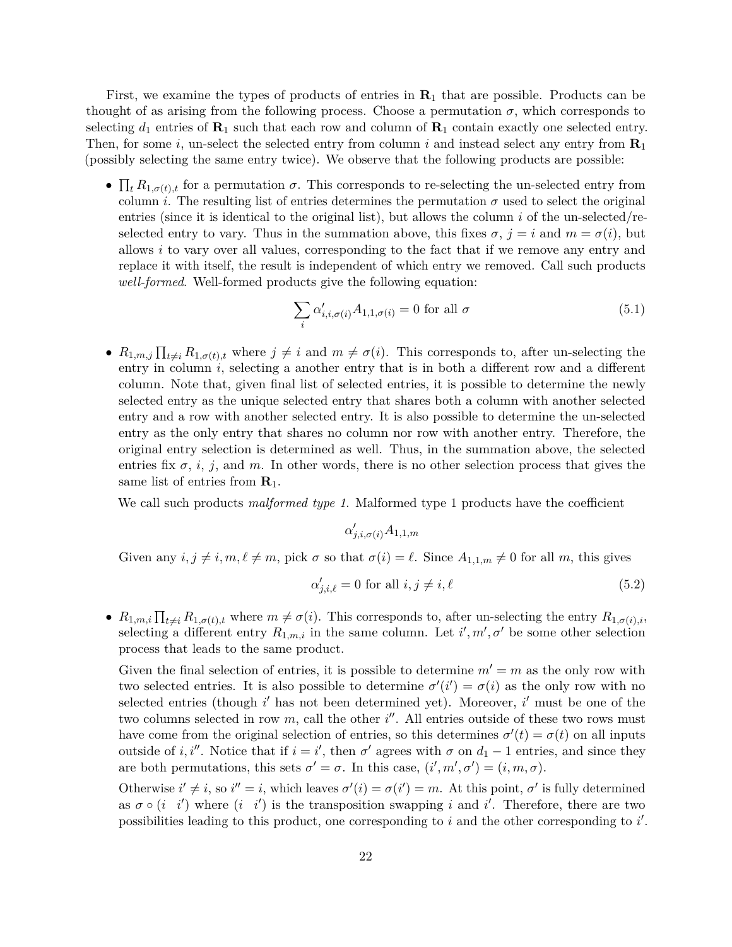First, we examine the types of products of entries in **R**<sup>1</sup> that are possible. Products can be thought of as arising from the following process. Choose a permutation  $\sigma$ , which corresponds to selecting  $d_1$  entries of  $\mathbf{R}_1$  such that each row and column of  $\mathbf{R}_1$  contain exactly one selected entry. Then, for some *i*, un-select the selected entry from column *i* and instead select any entry from **R**<sup>1</sup> (possibly selecting the same entry twice). We observe that the following products are possible:

•  $\prod_t R_{1,\sigma(t),t}$  for a permutation  $\sigma$ . This corresponds to re-selecting the un-selected entry from column *i*. The resulting list of entries determines the permutation  $\sigma$  used to select the original entries (since it is identical to the original list), but allows the column *i* of the un-selected/reselected entry to vary. Thus in the summation above, this fixes  $\sigma$ ,  $j = i$  and  $m = \sigma(i)$ , but allows *i* to vary over all values, corresponding to the fact that if we remove any entry and replace it with itself, the result is independent of which entry we removed. Call such products *well-formed*. Well-formed products give the following equation:

<span id="page-22-0"></span>
$$
\sum_{i} \alpha'_{i,i,\sigma(i)} A_{1,1,\sigma(i)} = 0 \text{ for all } \sigma
$$
\n(5.1)

•  $R_{1,m,j} \prod_{t \neq i} R_{1,\sigma(t),t}$  where  $j \neq i$  and  $m \neq \sigma(i)$ . This corresponds to, after un-selecting the entry in column *i*, selecting a another entry that is in both a different row and a different column. Note that, given final list of selected entries, it is possible to determine the newly selected entry as the unique selected entry that shares both a column with another selected entry and a row with another selected entry. It is also possible to determine the un-selected entry as the only entry that shares no column nor row with another entry. Therefore, the original entry selection is determined as well. Thus, in the summation above, the selected entries fix  $\sigma$ , *i*, *j*, and *m*. In other words, there is no other selection process that gives the same list of entries from **R**1.

We call such products *malformed type 1*. Malformed type 1 products have the coefficient

<span id="page-22-1"></span>
$$
\alpha'_{j,i,\sigma(i)}A_{1,1,m}
$$

Given any  $i, j \neq i, m, \ell \neq m$ , pick  $\sigma$  so that  $\sigma(i) = \ell$ . Since  $A_{1,1,m} \neq 0$  for all  $m$ , this gives

$$
\alpha'_{j,i,\ell} = 0 \text{ for all } i, j \neq i, \ell \tag{5.2}
$$

•  $R_{1,m,i} \prod_{t \neq i} R_{1,\sigma(t),t}$  where  $m \neq \sigma(i)$ . This corresponds to, after un-selecting the entry  $R_{1,\sigma(i),i}$ , selecting a different entry  $R_{1,m,i}$  in the same column. Let  $i', m', \sigma'$  be some other selection process that leads to the same product.

Given the final selection of entries, it is possible to determine  $m' = m$  as the only row with two selected entries. It is also possible to determine  $\sigma'(i') = \sigma(i)$  as the only row with no selected entries (though *i*' has not been determined yet). Moreover, *i*' must be one of the two columns selected in row  $m$ , call the other  $i''$ . All entries outside of these two rows must have come from the original selection of entries, so this determines  $\sigma'(t) = \sigma(t)$  on all inputs outside of *i*, *i*<sup>n</sup>. Notice that if  $i = i'$ , then  $\sigma'$  agrees with  $\sigma$  on  $d_1 - 1$  entries, and since they are both permutations, this sets  $\sigma' = \sigma$ . In this case,  $(i', m', \sigma') = (i, m, \sigma)$ .

Otherwise  $i' \neq i$ , so  $i'' = i$ , which leaves  $\sigma'(i) = \sigma(i') = m$ . At this point,  $\sigma'$  is fully determined as  $\sigma \circ (i \ i')$  where  $(i \ i')$  is the transposition swapping *i* and *i'*. Therefore, there are two possibilities leading to this product, one corresponding to  $i$  and the other corresponding to  $i'$ .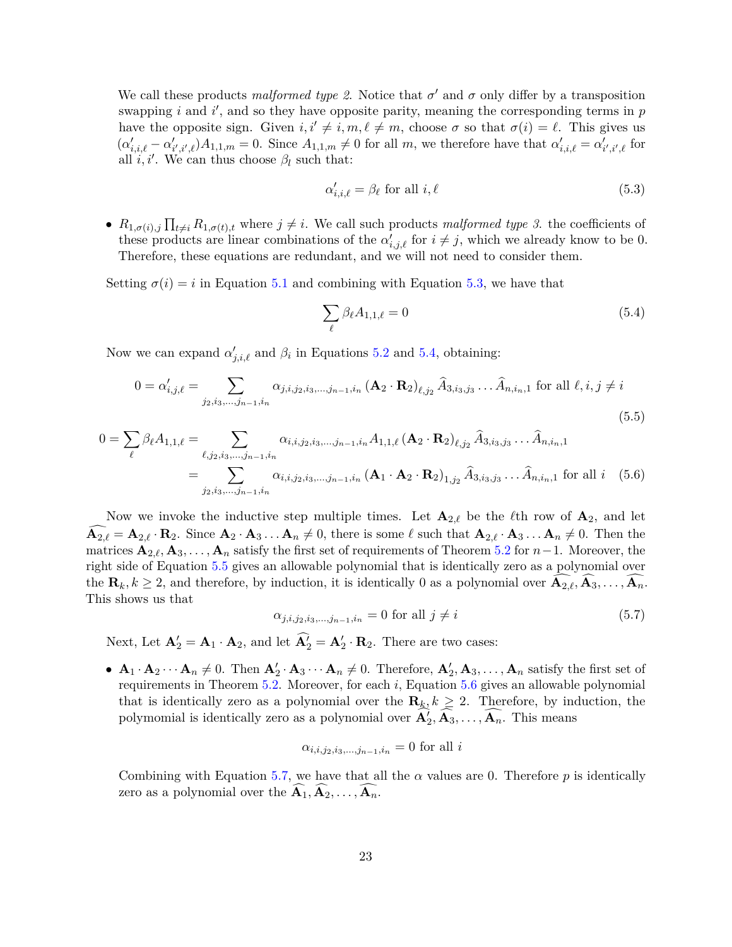We call these products *malformed type 2*. Notice that  $\sigma'$  and  $\sigma$  only differ by a transposition swapping  $i$  and  $i'$ , and so they have opposite parity, meaning the corresponding terms in  $p$ have the opposite sign. Given  $i, i' \neq i, m, \ell \neq m$ , choose  $\sigma$  so that  $\sigma(i) = \ell$ . This gives us  $(\alpha'_{i,i,\ell} - \alpha'_{i',i',\ell})A_{1,1,m} = 0.$  Since  $A_{1,1,m} \neq 0$  for all m, we therefore have that  $\alpha'_{i,i,\ell} = \alpha'_{i',i',\ell}$  for all  $i, i'$ . We can thus choose  $\beta_l$  such that:

<span id="page-23-0"></span>
$$
\alpha'_{i,i,\ell} = \beta_{\ell} \text{ for all } i,\ell \tag{5.3}
$$

•  $R_{1,\sigma(i),j} \prod_{t \neq i} R_{1,\sigma(t),t}$  where  $j \neq i$ . We call such products *malformed type 3*. the coefficients of these products are linear combinations of the  $\alpha'_{i,j,\ell}$  for  $i \neq j$ , which we already know to be 0. Therefore, these equations are redundant, and we will not need to consider them.

Setting  $\sigma(i) = i$  in Equation [5.1](#page-22-0) and combining with Equation [5.3,](#page-23-0) we have that

<span id="page-23-3"></span><span id="page-23-2"></span><span id="page-23-1"></span>
$$
\sum_{\ell} \beta_{\ell} A_{1,1,\ell} = 0 \tag{5.4}
$$

Now we can expand  $\alpha'_{j,i,\ell}$  and  $\beta_i$  in Equations [5.2](#page-22-1) and [5.4,](#page-23-1) obtaining:

$$
0 = \alpha'_{i,j,\ell} = \sum_{j_2, i_3, \dots, j_{n-1}, i_n} \alpha_{j,i,j_2, i_3, \dots, j_{n-1}, i_n} (\mathbf{A}_2 \cdot \mathbf{R}_2)_{\ell, j_2} \hat{A}_{3, i_3, j_3} \dots \hat{A}_{n, i_n, 1} \text{ for all } \ell, i, j \neq i
$$
\n(5.5)

$$
0 = \sum_{\ell} \beta_{\ell} A_{1,1,\ell} = \sum_{\ell,j_2,i_3,\dots,j_{n-1},i_n} \alpha_{i,i,j_2,i_3,\dots,j_{n-1},i_n} A_{1,1,\ell} (\mathbf{A}_2 \cdot \mathbf{R}_2)_{\ell,j_2} \hat{A}_{3,i_3,j_3} \dots \hat{A}_{n,i_n,1}
$$
  
= 
$$
\sum_{j_2,i_3,\dots,j_{n-1},i_n} \alpha_{i,i,j_2,i_3,\dots,j_{n-1},i_n} (\mathbf{A}_1 \cdot \mathbf{A}_2 \cdot \mathbf{R}_2)_{1,j_2} \hat{A}_{3,i_3,j_3} \dots \hat{A}_{n,i_n,1} \text{ for all } i \quad (5.6)
$$

Now we invoke the inductive step multiple times. Let  $\mathbf{A}_{2,\ell}$  be the  $\ell$ <sup>th</sup> row of  $\mathbf{A}_2$ , and let  $\mathbf{A}_{2,\ell} = \mathbf{A}_{2,\ell} \cdot \mathbf{R}_2$ . Since  $\mathbf{A}_2 \cdot \mathbf{A}_3 \dots \mathbf{A}_n \neq 0$ , there is some  $\ell$  such that  $\mathbf{A}_{2,\ell} \cdot \mathbf{A}_3 \dots \mathbf{A}_n \neq 0$ . Then the matrices  $\mathbf{A}_{2,\ell}, \mathbf{A}_3, \ldots, \mathbf{A}_n$  satisfy the first set of requirements of Theorem [5.2](#page-20-1) for *n*−1. Moreover, the right side of Equation [5.5](#page-23-2) gives an allowable polynomial that is identically zero as a polynomial over the  $\mathbf{R}_k, k \geq 2$ , and therefore, by induction, it is identically 0 as a polynomial over  $\mathbf{A}_{2,\ell}, \mathbf{A}_3, \ldots, \mathbf{A}_n$ . This shows us that

<span id="page-23-4"></span>
$$
\alpha_{j,i,j_2,i_3,\dots,j_{n-1},i_n} = 0 \text{ for all } j \neq i \tag{5.7}
$$

Next, Let  $\mathbf{A}'_2 = \mathbf{A}_1 \cdot \mathbf{A}_2$ , and let  $\widehat{\mathbf{A}}'_2 = \mathbf{A}'_2 \cdot \mathbf{R}_2$ . There are two cases:

•  $\mathbf{A}_1 \cdot \mathbf{A}_2 \cdots \mathbf{A}_n \neq 0$ . Then  $\mathbf{A}'_2 \cdot \mathbf{A}_3 \cdots \mathbf{A}_n \neq 0$ . Therefore,  $\mathbf{A}'_2, \mathbf{A}_3, \ldots, \mathbf{A}_n$  satisfy the first set of requirements in Theorem [5.2.](#page-20-1) Moreover, for each *i*, Equation [5.6](#page-23-3) gives an allowable polynomial that is identically zero as a polynomial over the  $\mathbf{R}_k, k \geq 2$ . Therefore, by induction, the polymomial is identically zero as a polynomial over  $\mathbf{A}'_2, \mathbf{A}_3, \ldots, \mathbf{A}_n$ . This means

$$
\alpha_{i,i,j_2,i_3,...,j_{n-1},i_n} = 0
$$
 for all *i*

Combining with Equation [5.7,](#page-23-4) we have that all the  $\alpha$  values are 0. Therefore  $p$  is identically zero as a polynomial over the  $\mathbf{A}_1, \mathbf{A}_2, \ldots, \mathbf{A}_n$ .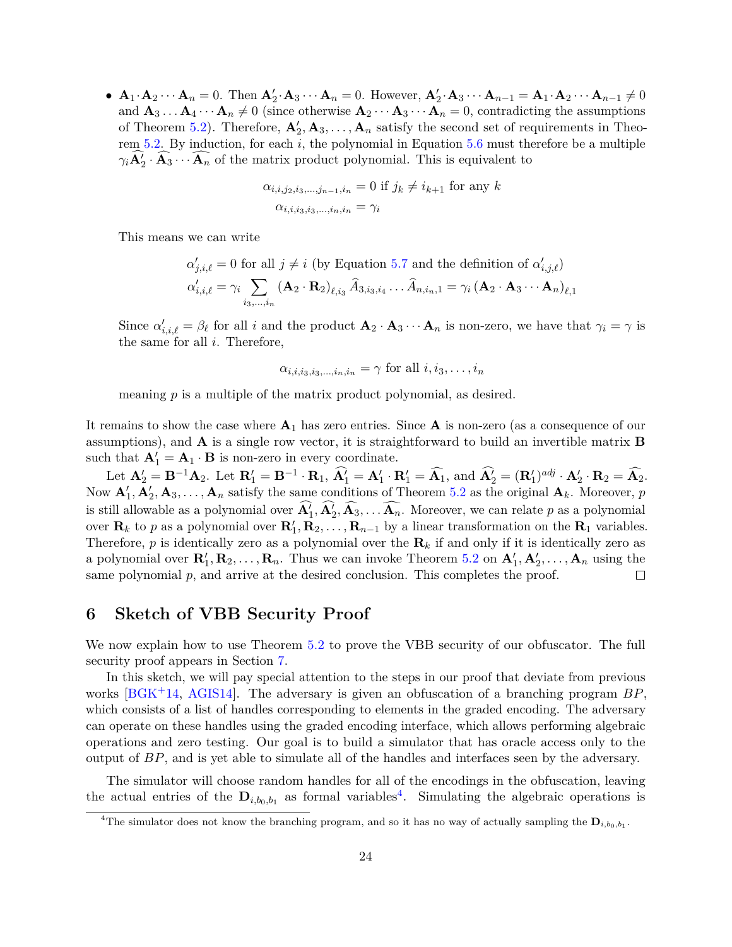•  $\mathbf{A}_1 \cdot \mathbf{A}_2 \cdots \mathbf{A}_n = 0$ . Then  $\mathbf{A}'_2 \cdot \mathbf{A}_3 \cdots \mathbf{A}_n = 0$ . However,  $\mathbf{A}'_2 \cdot \mathbf{A}_3 \cdots \mathbf{A}_{n-1} = \mathbf{A}_1 \cdot \mathbf{A}_2 \cdots \mathbf{A}_{n-1} \neq 0$ and  $\mathbf{A}_3 \dots \mathbf{A}_4 \dots \mathbf{A}_n \neq 0$  (since otherwise  $\mathbf{A}_2 \dots \mathbf{A}_3 \dots \mathbf{A}_n = 0$ , contradicting the assumptions of Theorem [5.2\)](#page-20-1). Therefore,  $A'_2, A_3, \ldots, A_n$  satisfy the second set of requirements in Theorem [5.2.](#page-20-1) By induction, for each *i*, the polynomial in Equation [5.6](#page-23-3) must therefore be a multiple  $\gamma_i \mathbf{A}_2^j \cdot \mathbf{A}_3 \cdots \mathbf{A}_n$  of the matrix product polynomial. This is equivalent to

$$
\alpha_{i,i,j_2,i_3,\dots,j_{n-1},i_n} = 0 \text{ if } j_k \neq i_{k+1} \text{ for any } k
$$

$$
\alpha_{i,i,j_3,i_3,\dots,i_n,i_n} = \gamma_i
$$

This means we can write

$$
\alpha'_{j,i,\ell} = 0 \text{ for all } j \neq i \text{ (by Equation 5.7 and the definition of } \alpha'_{i,j,\ell})
$$

$$
\alpha'_{i,i,\ell} = \gamma_i \sum_{i_3,\dots,i_n} (\mathbf{A}_2 \cdot \mathbf{R}_2)_{\ell,i_3} \hat{A}_{3,i_3,i_4} \dots \hat{A}_{n,i_n,1} = \gamma_i (\mathbf{A}_2 \cdot \mathbf{A}_3 \cdots \mathbf{A}_n)_{\ell,1}
$$

Since  $\alpha'_{i,i,\ell} = \beta_{\ell}$  for all *i* and the product  $\mathbf{A}_2 \cdot \mathbf{A}_3 \cdots \mathbf{A}_n$  is non-zero, we have that  $\gamma_i = \gamma$  is the same for all *i*. Therefore,

$$
\alpha_{i,i,i_3,i_3,\dots,i_n,i_n} = \gamma
$$
 for all  $i, i_3, \dots, i_n$ 

meaning *p* is a multiple of the matrix product polynomial, as desired.

It remains to show the case where  $A_1$  has zero entries. Since  $A$  is non-zero (as a consequence of our assumptions), and **A** is a single row vector, it is straightforward to build an invertible matrix **B** such that  $\mathbf{A}'_1 = \mathbf{A}_1 \cdot \mathbf{B}$  is non-zero in every coordinate.

 $\mathbf{A}_2^{\prime} = \mathbf{B}^{-1}\mathbf{A}_2.$  Let  $\mathbf{R}_1^{\prime} = \mathbf{B}^{-1} \cdot \mathbf{R}_1$ ,  $\mathbf{A}_1^{\prime} = \mathbf{A}_1^{\prime} \cdot \mathbf{R}_1^{\prime} = \widehat{\mathbf{A}_1}$ , and  $\mathbf{A}_2^{\prime} = (\mathbf{R}_1^{\prime})^{adj} \cdot \mathbf{A}_2^{\prime} \cdot \mathbf{R}_2 = \widehat{\mathbf{A}_2}$ . Now  $\mathbf{A}'_1, \mathbf{A}'_2, \mathbf{A}_3, \ldots, \mathbf{A}_n$  satisfy the same conditions of Theorem [5.2](#page-20-1) as the original  $\mathbf{A}_k$ . Moreover, *p* is still allowable as a polynomial over  $\hat{A}'_1, \hat{A}'_2, \hat{A}_3, \dots, \hat{A}_n$ . Moreover, we can relate *p* as a polynomial over  $\mathbf{R}_k$  to p as a polynomial over  $\mathbf{R}'_1, \mathbf{R}_2, \ldots, \mathbf{R}_{n-1}$  by a linear transformation on the  $\mathbf{R}_1$  variables. Therefore,  $p$  is identically zero as a polynomial over the  $\mathbf{R}_k$  if and only if it is identically zero as a polynomial over  $\mathbf{R}'_1, \mathbf{R}_2, \ldots, \mathbf{R}_n$ . Thus we can invoke Theorem [5.2](#page-20-1) on  $\mathbf{A}'_1, \mathbf{A}'_2, \ldots, \mathbf{A}_n$  using the same polynomial p, and arrive at the desired conclusion. This completes the proof.  $\Box$ 

### <span id="page-24-0"></span>**6 Sketch of VBB Security Proof**

We now explain how to use Theorem [5.2](#page-20-1) to prove the VBB security of our obfuscator. The full security proof appears in Section [7.](#page-25-0)

In this sketch, we will pay special attention to the steps in our proof that deviate from previous works [\[BGK](#page-29-3)+14, [AGIS14\]](#page-29-1). The adversary is given an obfuscation of a branching program *BP*, which consists of a list of handles corresponding to elements in the graded encoding. The adversary can operate on these handles using the graded encoding interface, which allows performing algebraic operations and zero testing. Our goal is to build a simulator that has oracle access only to the output of *BP*, and is yet able to simulate all of the handles and interfaces seen by the adversary.

The simulator will choose random handles for all of the encodings in the obfuscation, leaving the actual entries of the  $D_{i,b_0,b_1}$  as formal variables<sup>[4](#page-24-1)</sup>. Simulating the algebraic operations is

<span id="page-24-1"></span><sup>&</sup>lt;sup>4</sup>The simulator does not know the branching program, and so it has no way of actually sampling the  $\mathbf{D}_{i,b_0,b_1}$ .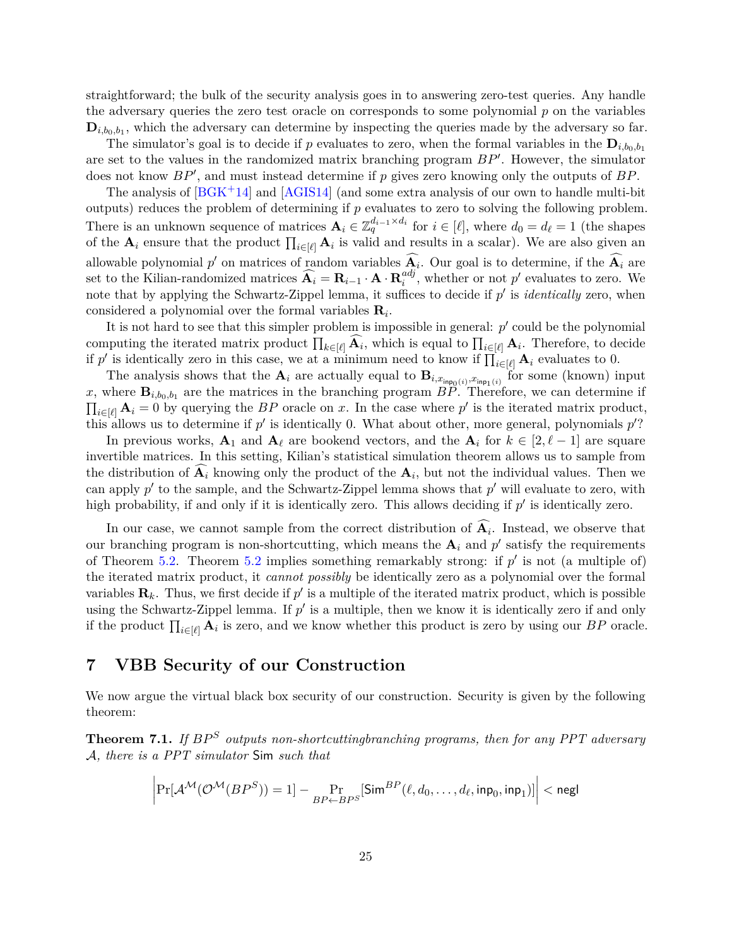straightforward; the bulk of the security analysis goes in to answering zero-test queries. Any handle the adversary queries the zero test oracle on corresponds to some polynomial *p* on the variables  $\mathbf{D}_{i,b_0,b_1}$ , which the adversary can determine by inspecting the queries made by the adversary so far.

The simulator's goal is to decide if p evaluates to zero, when the formal variables in the  $D_{i,b_0,b_1}$ are set to the values in the randomized matrix branching program  $BP'$ . However, the simulator does not know  $BP'$ , and must instead determine if p gives zero knowing only the outputs of BP.

The analysis of  $B G K^+ 14$  and  $A G I S 14$  (and some extra analysis of our own to handle multi-bit outputs) reduces the problem of determining if *p* evaluates to zero to solving the following problem. There is an unknown sequence of matrices  $A_i \in \mathbb{Z}_q^{d_{i-1} \times d_i}$  for  $i \in [\ell]$ , where  $d_0 = d_\ell = 1$  (the shapes of the  $A_i$  ensure that the product  $\prod_{i\in[\ell]} A_i$  is valid and results in a scalar). We are also given an allowable polynomial  $p'$  on matrices of random variables  $\widehat{A}_i$ . Our goal is to determine, if the  $\widehat{A}_i$  are set to the Kilian-randomized matrices  $\widehat{A}_i = R_{i-1} \cdot A \cdot R_i^{adj}$  $\binom{adj}{i}$ , whether or not  $p'$  evaluates to zero. We note that by applying the Schwartz-Zippel lemma, it suffices to decide if  $p'$  is *identically* zero, when considered a polynomial over the formal variables **R***<sup>i</sup>* .

It is not hard to see that this simpler problem is impossible in general:  $p'$  could be the polynomial computing the iterated matrix product  $\prod_{k \in [\ell]} \mathbf{A}_i$ , which is equal to  $\prod_{i \in [\ell]} \mathbf{A}_i$ . Therefore, to decide if p' is identically zero in this case, we at a minimum need to know if  $\prod_{i\in[\ell]}$  **A**<sub>*i*</sub> evaluates to 0.

The analysis shows that the  $\mathbf{A}_i$  are actually equal to  $\mathbf{B}_{i,x_{\text{inp}_0(i)},x_{\text{inp}_1(i)}}$  for some (known) input x, where  $\mathbf{B}_{i,b_0,b_1}$  are the matrices in the branching program  $BP$ . Therefore, we can determine if  $\prod_{i\in[\ell]} A_i = 0$  by querying the *BP* oracle on *x*. In the case where *p*' is the iterated matrix product, this allows us to determine if  $p'$  is identically 0. What about other, more general, polynomials  $p'$ ?

In previous works,  $A_1$  and  $A_\ell$  are bookend vectors, and the  $A_i$  for  $k \in [2, \ell - 1]$  are square invertible matrices. In this setting, Kilian's statistical simulation theorem allows us to sample from the distribution of  $A_i$  knowing only the product of the  $A_i$ , but not the individual values. Then we can apply  $p'$  to the sample, and the Schwartz-Zippel lemma shows that  $p'$  will evaluate to zero, with high probability, if and only if it is identically zero. This allows deciding if  $p'$  is identically zero.

In our case, we cannot sample from the correct distribution of  $A_i$ . Instead, we observe that our branching program is non-shortcutting, which means the  $A_i$  and  $p'$  satisfy the requirements of Theorem [5.2.](#page-20-1) Theorem [5.2](#page-20-1) implies something remarkably strong: if  $p'$  is not (a multiple of) the iterated matrix product, it *cannot possibly* be identically zero as a polynomial over the formal variables  $\mathbf{R}_k$ . Thus, we first decide if  $p'$  is a multiple of the iterated matrix product, which is possible using the Schwartz-Zippel lemma. If  $p'$  is a multiple, then we know it is identically zero if and only if the product  $\prod_{i\in[\ell]} A_i$  is zero, and we know whether this product is zero by using our *BP* oracle.

### <span id="page-25-0"></span>**7 VBB Security of our Construction**

We now argue the virtual black box security of our construction. Security is given by the following theorem:

**Theorem 7.1.** *If*  $BP^S$  *outputs non-shortcuttingbranching programs, then for any PPT adversary* A*, there is a PPT simulator* Sim *such that*

$$
\bigg| \Pr[\mathcal{A}^{\mathcal{M}}(\mathcal{O}^{\mathcal{M}}(BP^S)) = 1] - \Pr_{BP \leftarrow BPS}[\mathsf{Sim}^{BP}(\ell, d_0, \ldots, d_\ell, \mathsf{inp}_0, \mathsf{inp}_1)] \bigg| < \mathsf{negl}
$$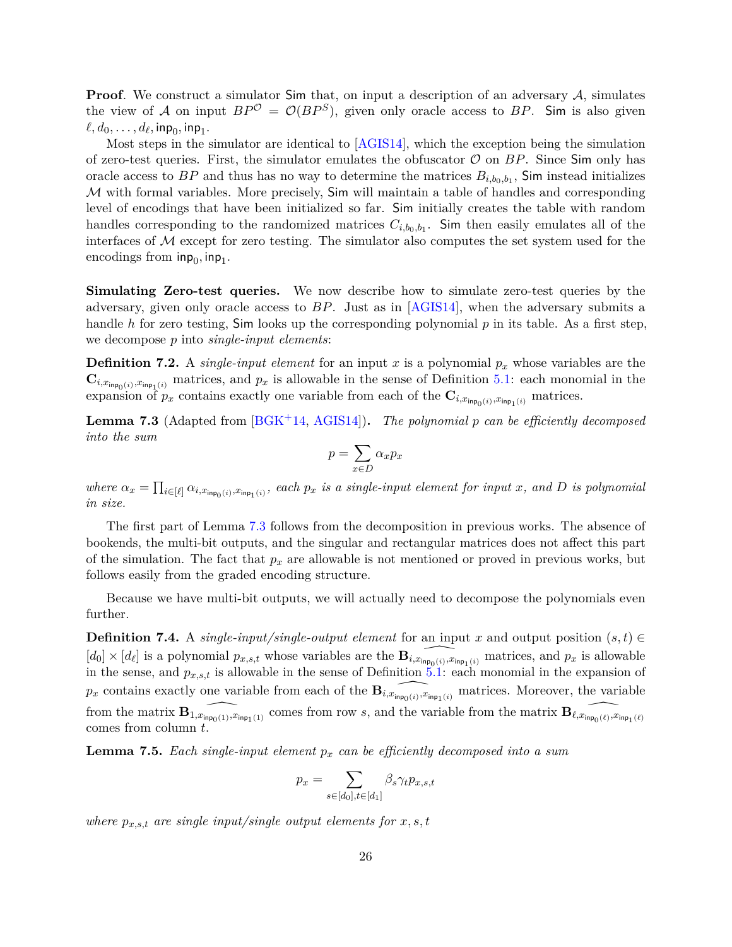**Proof**. We construct a simulator Sim that, on input a description of an adversary A, simulates the view of A on input  $BP^{\mathcal{O}} = \mathcal{O}(BP^S)$ , given only oracle access to BP. Sim is also given  $\ell, d_0, \ldots, d_{\ell}, \mathsf{inp}_0, \mathsf{inp}_1.$ 

Most steps in the simulator are identical to [\[AGIS14\]](#page-29-1), which the exception being the simulation of zero-test queries. First, the simulator emulates the obfuscator  $\mathcal O$  on  $BP$ . Since  $\mathsf{Sim}$  only has oracle access to  $BP$  and thus has no way to determine the matrices  $B_{i,b_0,b_1}$ , Sim instead initializes  $M$  with formal variables. More precisely,  $Sim$  will maintain a table of handles and corresponding level of encodings that have been initialized so far. Sim initially creates the table with random handles corresponding to the randomized matrices  $C_{i,b_0,b_1}$ . Sim then easily emulates all of the interfaces of  $M$  except for zero testing. The simulator also computes the set system used for the encodings from  $\mathsf{inp}_{0}, \mathsf{inp}_{1}.$ 

**Simulating Zero-test queries.** We now describe how to simulate zero-test queries by the adversary, given only oracle access to *BP*. Just as in [\[AGIS14\]](#page-29-1), when the adversary submits a handle *h* for zero testing, Sim looks up the corresponding polynomial *p* in its table. As a first step, we decompose *p* into *single-input elements*:

**Definition 7.2.** A *single-input element* for an input *x* is a polynomial *p<sup>x</sup>* whose variables are the  $\mathbf{C}_{i,x_{\mathsf{inp}_0(i)},x_{\mathsf{inp}_1(i)}}$  matrices, and  $p_x$  is allowable in the sense of Definition [5.1:](#page-20-2) each monomial in the expansion of  $p_x$  contains exactly one variable from each of the  $\mathbf{C}_{i,x_{\text{inp}_0(i)},x_{\text{inp}_1(i)}}$  matrices.

<span id="page-26-0"></span>**Lemma 7.3** (Adapted from [\[BGK](#page-29-3)+14, [AGIS14\]](#page-29-1))**.** *The polynomial p can be efficiently decomposed into the sum*

$$
p = \sum_{x \in D} \alpha_x p_x
$$

where  $\alpha_x = \prod_{i \in [\ell]} \alpha_{i,x_{\mathsf{inp}_0(i)},x_{\mathsf{inp}_1(i)}},$  each  $p_x$  is a single-input element for input x, and D is polynomial *in size.*

The first part of Lemma [7.3](#page-26-0) follows from the decomposition in previous works. The absence of bookends, the multi-bit outputs, and the singular and rectangular matrices does not affect this part of the simulation. The fact that  $p_x$  are allowable is not mentioned or proved in previous works, but follows easily from the graded encoding structure.

Because we have multi-bit outputs, we will actually need to decompose the polynomials even further.

**Definition 7.4.** A *single-input/single-output element* for an input *x* and output position  $(s,t) \in$  $[d_0] \times [d_\ell]$  is a polynomial  $p_{x,s,t}$  whose variables are the  $\widehat{\mathbf{B}_{i,x_{\mathsf{inp}_1(i)},x_{\mathsf{inp}_1(i)}}}$  matrices, and  $p_x$  is allowable in the sense, and  $p_{x,s,t}$  is allowable in the sense of Definition  $5.1$ : each monomial in the expansion of  $p_x$  contains exactly one variable from each of the  $\widehat{\mathbf{B}_{i,x_{\mathsf{inp}_1(i)},x_{\mathsf{inp}_1(i)}}}$  matrices. Moreover, the variable from the matrix  $\mathbf{B}_{1,x_{\mathsf{inp}_0(1)},x_{\mathsf{inp}_1(1)}}$  comes from row *s*, and the variable from the matrix  $\mathbf{B}_{\ell,x_{\mathsf{inp}_0(\ell)},x_{\mathsf{inp}_1(\ell)}}$ comes from column *t*.

**Lemma 7.5.** *Each single-input element p<sup>x</sup> can be efficiently decomposed into a sum*

$$
p_x = \sum_{s \in [d_0], t \in [d_1]} \beta_s \gamma_t p_{x,s,t}
$$

*where*  $p_{x,s,t}$  *are single input/single output elements for*  $x, s, t$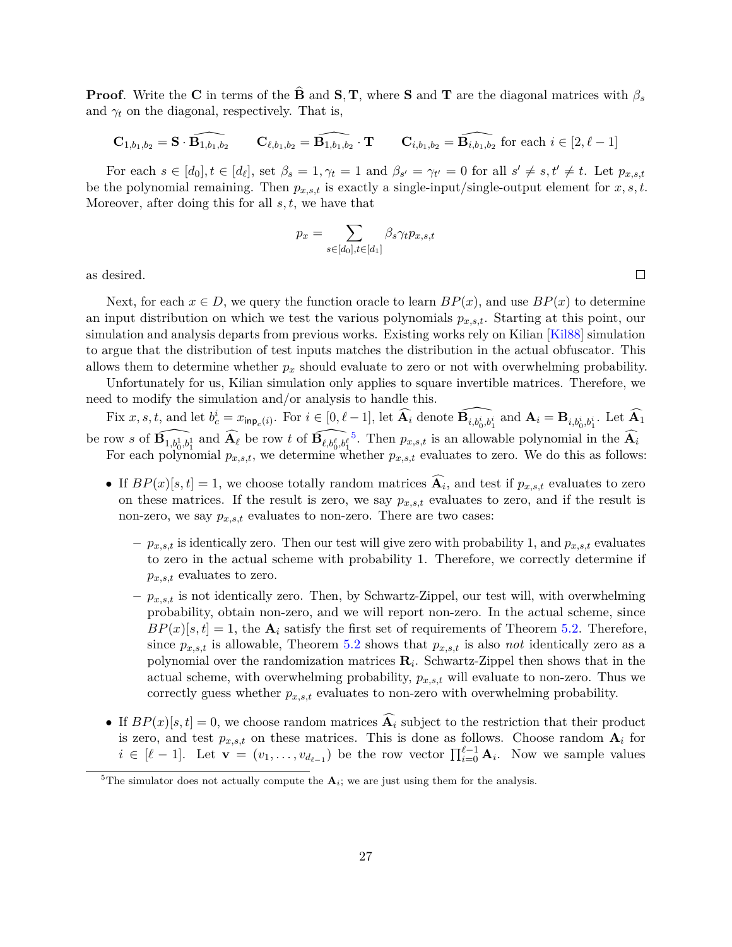**Proof***.* Write the **C** in terms of the **B** and **S***,* **T***,* where **S** and **T** are the diagonal matrices with  $\beta_s$ and  $\gamma_t$  on the diagonal, respectively. That is,

$$
\mathbf{C}_{1,b_1,b_2} = \mathbf{S} \cdot \widehat{\mathbf{B}_{1,b_1,b_2}} \qquad \mathbf{C}_{\ell,b_1,b_2} = \widehat{\mathbf{B}_{1,b_1,b_2}} \cdot \mathbf{T} \qquad \mathbf{C}_{i,b_1,b_2} = \widehat{\mathbf{B}_{i,b_1,b_2}} \text{ for each } i \in [2,\ell-1]
$$

For each  $s \in [d_0], t \in [d_\ell]$ , set  $\beta_s = 1, \gamma_t = 1$  and  $\beta_{s'} = \gamma_{t'} = 0$  for all  $s' \neq s, t' \neq t$ . Let  $p_{x,s,t}$ be the polynomial remaining. Then  $p_{x,s,t}$  is exactly a single-input/single-output element for  $x, s, t$ . Moreover, after doing this for all *s, t*, we have that

$$
p_x = \sum_{s \in [d_0], t \in [d_1]} \beta_s \gamma_t p_{x,s,t}
$$

as desired.

Next, for each  $x \in D$ , we query the function oracle to learn  $BP(x)$ , and use  $BP(x)$  to determine an input distribution on which we test the various polynomials *px,s,t*. Starting at this point, our simulation and analysis departs from previous works. Existing works rely on Kilian [\[Kil88\]](#page-30-7) simulation to argue that the distribution of test inputs matches the distribution in the actual obfuscator. This allows them to determine whether *p<sup>x</sup>* should evaluate to zero or not with overwhelming probability.

Unfortunately for us, Kilian simulation only applies to square invertible matrices. Therefore, we need to modify the simulation and/or analysis to handle this.

Fix  $x, s, t$ , and let  $b_c^i = x_{\mathsf{inp}_c(i)}$ . For  $i \in [0, \ell-1]$ , let  $\widehat{A_i}$  denote  $\widehat{B_{i, b_0^i, b_1^i}}$  and  $A_i = B_{i, b_0^i, b_1^i}$ . Let  $\widehat{A_1}$ be row *s* of  $\widehat{\mathbf{B}_{1,b_0^1,b_1^1}}$  and  $\widehat{\mathbf{A}_{\ell}}$  be row *t* of  $\widehat{\mathbf{B}_{\ell,b_0^{\ell},b_1^{\ell}}}$ <sup>[5](#page-27-0)</sup>. Then  $p_{x,s,t}$  is an allowable polynomial in the  $\widehat{A}_i$ For each polynomial  $p_{x,s,t}$ , we determine whether  $p_{x,s,t}$  evaluates to zero. We do this as follows:

- If  $BP(x)[s,t] = 1$ , we choose totally random matrices  $A_i$ , and test if  $p_{x,s,t}$  evaluates to zero on these matrices. If the result is zero, we say  $p_{x,s,t}$  evaluates to zero, and if the result is non-zero, we say  $p_{x,s,t}$  evaluates to non-zero. There are two cases:
	- $-p_{x,s,t}$  is identically zero. Then our test will give zero with probability 1, and  $p_{x,s,t}$  evaluates to zero in the actual scheme with probability 1. Therefore, we correctly determine if *px,s,t* evaluates to zero.
	- **–** *px,s,t* is not identically zero. Then, by Schwartz-Zippel, our test will, with overwhelming probability, obtain non-zero, and we will report non-zero. In the actual scheme, since  $BP(x)[s,t] = 1$ , the  $A_i$  satisfy the first set of requirements of Theorem [5.2.](#page-20-1) Therefore, since  $p_{x,s,t}$  is allowable, Theorem [5.2](#page-20-1) shows that  $p_{x,s,t}$  is also *not* identically zero as a polynomial over the randomization matrices **R***<sup>i</sup>* . Schwartz-Zippel then shows that in the actual scheme, with overwhelming probability, *px,s,t* will evaluate to non-zero. Thus we correctly guess whether *px,s,t* evaluates to non-zero with overwhelming probability.
- If  $BP(x)[s,t] = 0$ , we choose random matrices  $\widehat{A}_i$  subject to the restriction that their product is zero, and test  $p_{x,s,t}$  on these matrices. This is done as follows. Choose random  $A_i$  for  $i \in [\ell - 1]$ . Let  $\mathbf{v} = (v_1, \ldots, v_{d_{\ell-1}})$  be the row vector  $\prod_{i=0}^{\ell-1} \mathbf{A}_i$ . Now we sample values

 $\Box$ 

<span id="page-27-0"></span><sup>&</sup>lt;sup>5</sup>The simulator does not actually compute the  $A_i$ ; we are just using them for the analysis.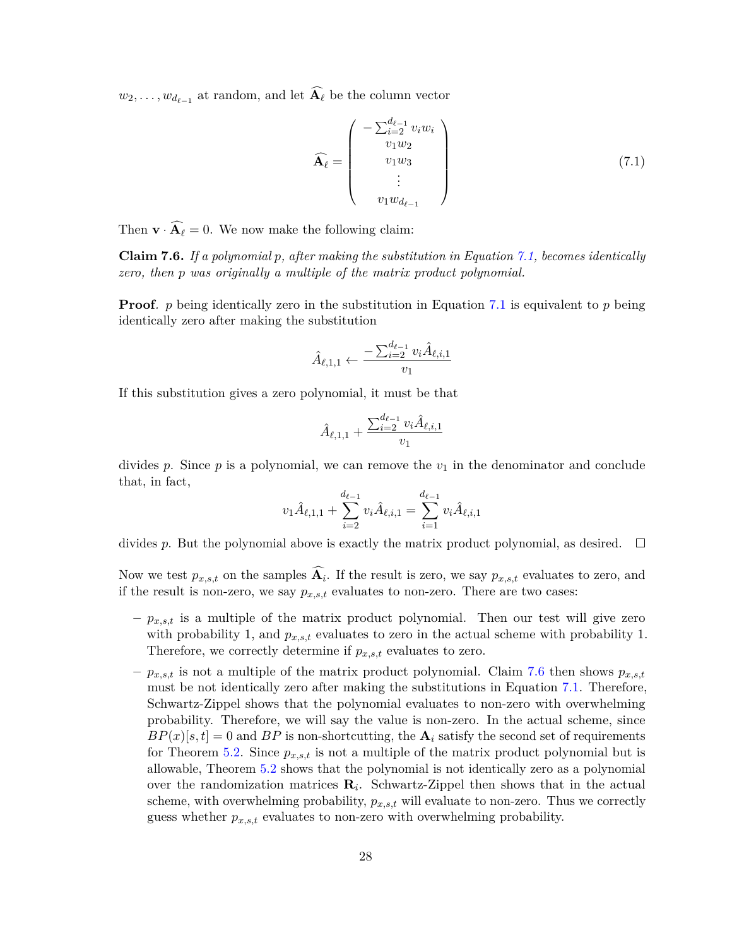$w_2, \ldots, w_{d_{\ell-1}}$  at random, and let  $\mathbf{A}_{\ell}$  be the column vector

<span id="page-28-0"></span>
$$
\widehat{\mathbf{A}_{\ell}} = \begin{pmatrix} -\sum_{i=2}^{d_{\ell-1}} v_i w_i \\ v_1 w_2 \\ v_1 w_3 \\ \vdots \\ v_1 w_{d_{\ell-1}} \end{pmatrix}
$$
(7.1)

<span id="page-28-1"></span>Then  $\mathbf{v} \cdot \widehat{\mathbf{A}_{\ell}} = 0$ . We now make the following claim:

**Claim 7.6.** *If a polynomial p, after making the substitution in Equation [7.1,](#page-28-0) becomes identically zero, then p was originally a multiple of the matrix product polynomial.*

**Proof**. *p* being identically zero in the substitution in Equation [7.1](#page-28-0) is equivalent to *p* being identically zero after making the substitution

$$
\hat{A}_{\ell,1,1} \leftarrow \frac{-\sum_{i=2}^{d_{\ell-1}} v_i \hat{A}_{\ell,i,1}}{v_1}
$$

If this substitution gives a zero polynomial, it must be that

$$
\hat{A}_{\ell,1,1}+\frac{\sum_{i=2}^{d_{\ell-1}}v_i\hat{A}_{\ell,i,1}}{v_1}
$$

divides  $p$ . Since  $p$  is a polynomial, we can remove the  $v_1$  in the denominator and conclude that, in fact,

$$
v_1 \hat{A}_{\ell,1,1} + \sum_{i=2}^{d_{\ell-1}} v_i \hat{A}_{\ell,i,1} = \sum_{i=1}^{d_{\ell-1}} v_i \hat{A}_{\ell,i,1}
$$

divides p. But the polynomial above is exactly the matrix product polynomial, as desired.  $\square$ 

Now we test  $p_{x,s,t}$  on the samples  $A_i$ . If the result is zero, we say  $p_{x,s,t}$  evaluates to zero, and if the result is non-zero, we say  $p_{x,s,t}$  evaluates to non-zero. There are two cases:

- **–** *px,s,t* is a multiple of the matrix product polynomial. Then our test will give zero with probability 1, and  $p_{x,s,t}$  evaluates to zero in the actual scheme with probability 1. Therefore, we correctly determine if *px,s,t* evaluates to zero.
- $-p_{x,s,t}$  is not a multiple of the matrix product polynomial. Claim [7.6](#page-28-1) then shows  $p_{x,s,t}$ must be not identically zero after making the substitutions in Equation [7.1.](#page-28-0) Therefore, Schwartz-Zippel shows that the polynomial evaluates to non-zero with overwhelming probability. Therefore, we will say the value is non-zero. In the actual scheme, since  $BP(x)[s,t] = 0$  and  $BP$  is non-shortcutting, the  $A_i$  satisfy the second set of requirements for Theorem [5.2.](#page-20-1) Since  $p_{x,s,t}$  is not a multiple of the matrix product polynomial but is allowable, Theorem [5.2](#page-20-1) shows that the polynomial is not identically zero as a polynomial over the randomization matrices **R***<sup>i</sup>* . Schwartz-Zippel then shows that in the actual scheme, with overwhelming probability, *px,s,t* will evaluate to non-zero. Thus we correctly guess whether *px,s,t* evaluates to non-zero with overwhelming probability.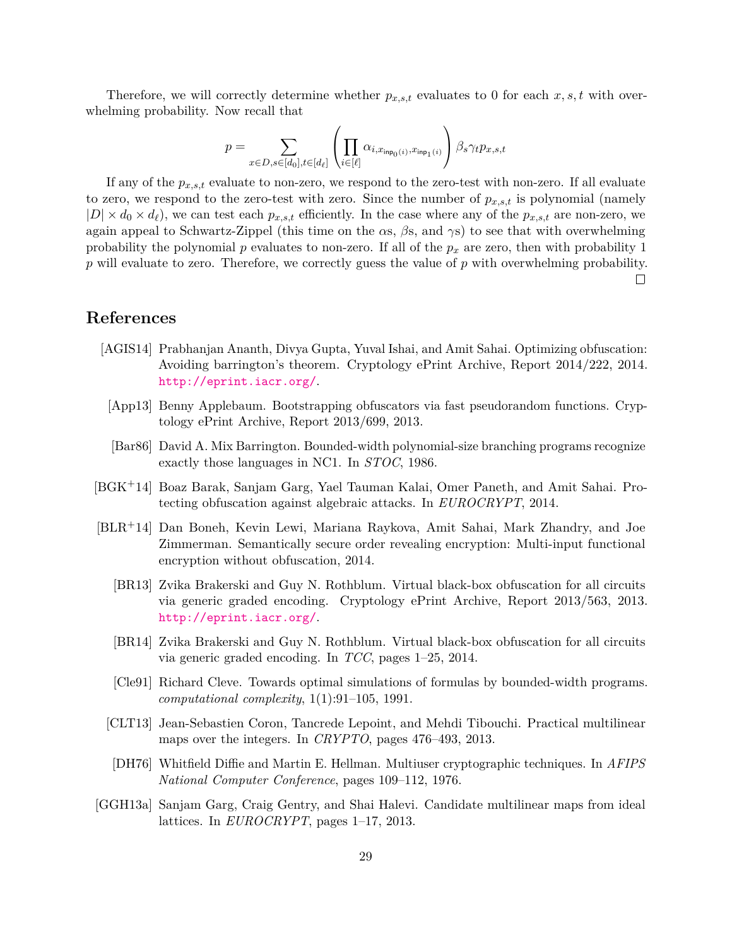Therefore, we will correctly determine whether  $p_{x,s,t}$  evaluates to 0 for each  $x, s, t$  with overwhelming probability. Now recall that

$$
p = \sum_{x \in D, s \in [d_0], t \in [d_\ell]} \left( \prod_{i \in [\ell]} \alpha_{i, x_{\mathsf{inp}_0(i)}, x_{\mathsf{inp}_1(i)}} \right) \beta_s \gamma_t p_{x, s, t}
$$

If any of the  $p_{x,s,t}$  evaluate to non-zero, we respond to the zero-test with non-zero. If all evaluate to zero, we respond to the zero-test with zero. Since the number of  $p_{x,s,t}$  is polynomial (namely  $|D| \times d_0 \times d_\ell$ , we can test each  $p_{x,s,t}$  efficiently. In the case where any of the  $p_{x,s,t}$  are non-zero, we again appeal to Schwartz-Zippel (this time on the *α*s, *β*s, and *γ*s) to see that with overwhelming probability the polynomial *p* evaluates to non-zero. If all of the *p<sup>x</sup>* are zero, then with probability 1 *p* will evaluate to zero. Therefore, we correctly guess the value of *p* with overwhelming probability.  $\Box$ 

## **References**

- <span id="page-29-1"></span>[AGIS14] Prabhanjan Ananth, Divya Gupta, Yuval Ishai, and Amit Sahai. Optimizing obfuscation: Avoiding barrington's theorem. Cryptology ePrint Archive, Report 2014/222, 2014. <http://eprint.iacr.org/>.
- <span id="page-29-7"></span>[App13] Benny Applebaum. Bootstrapping obfuscators via fast pseudorandom functions. Cryptology ePrint Archive, Report 2013/699, 2013.
- <span id="page-29-6"></span>[Bar86] David A. Mix Barrington. Bounded-width polynomial-size branching programs recognize exactly those languages in NC1. In *STOC*, 1986.
- <span id="page-29-3"></span>[BGK+14] Boaz Barak, Sanjam Garg, Yael Tauman Kalai, Omer Paneth, and Amit Sahai. Protecting obfuscation against algebraic attacks. In *EUROCRYPT*, 2014.
- <span id="page-29-10"></span><span id="page-29-8"></span><span id="page-29-2"></span>[BLR+14] Dan Boneh, Kevin Lewi, Mariana Raykova, Amit Sahai, Mark Zhandry, and Joe Zimmerman. Semantically secure order revealing encryption: Multi-input functional encryption without obfuscation, 2014.
	- [BR13] Zvika Brakerski and Guy N. Rothblum. Virtual black-box obfuscation for all circuits via generic graded encoding. Cryptology ePrint Archive, Report 2013/563, 2013. <http://eprint.iacr.org/>.
	- [BR14] Zvika Brakerski and Guy N. Rothblum. Virtual black-box obfuscation for all circuits via generic graded encoding. In *TCC*, pages 1–25, 2014.
	- [Cle91] Richard Cleve. Towards optimal simulations of formulas by bounded-width programs. *computational complexity*, 1(1):91–105, 1991.
	- [CLT13] Jean-Sebastien Coron, Tancrede Lepoint, and Mehdi Tibouchi. Practical multilinear maps over the integers. In *CRYPTO*, pages 476–493, 2013.
	- [DH76] Whitfield Diffie and Martin E. Hellman. Multiuser cryptographic techniques. In *AFIPS National Computer Conference*, pages 109–112, 1976.
- <span id="page-29-9"></span><span id="page-29-5"></span><span id="page-29-4"></span><span id="page-29-0"></span>[GGH13a] Sanjam Garg, Craig Gentry, and Shai Halevi. Candidate multilinear maps from ideal lattices. In *EUROCRYPT*, pages 1–17, 2013.